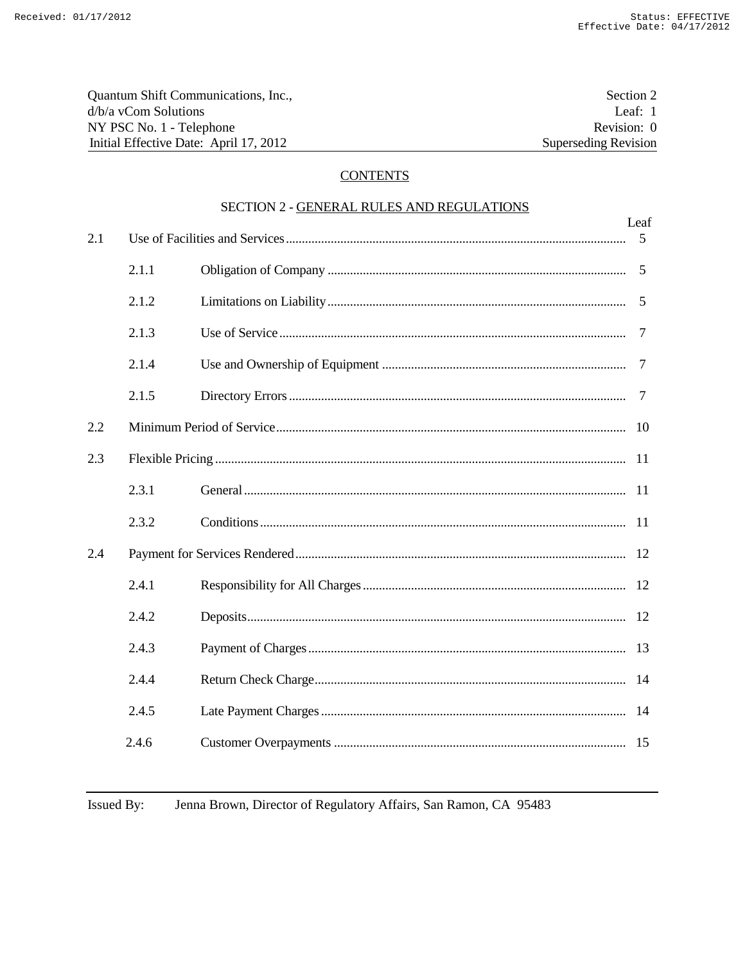| Quantum Shift Communications, Inc.,    | Section 2                   |
|----------------------------------------|-----------------------------|
| $d/b/a$ vCom Solutions                 | Leaf: $1$                   |
| NY PSC No. 1 - Telephone               | Revision: 0                 |
| Initial Effective Date: April 17, 2012 | <b>Superseding Revision</b> |

# **CONTENTS**

| SECTION 2 - GENERAL RULES AND REGULATIONS |       |  |           |
|-------------------------------------------|-------|--|-----------|
| 2.1                                       |       |  | Leaf<br>5 |
|                                           | 2.1.1 |  | 5         |
|                                           | 2.1.2 |  | 5         |
|                                           | 2.1.3 |  | 7         |
|                                           | 2.1.4 |  | 7         |
|                                           | 2.1.5 |  | 7         |
| 2.2                                       |       |  |           |
| 2.3                                       |       |  |           |
|                                           | 2.3.1 |  |           |
|                                           | 2.3.2 |  |           |
| 2.4                                       |       |  |           |
|                                           | 2.4.1 |  |           |
|                                           | 2.4.2 |  |           |
|                                           | 2.4.3 |  |           |
|                                           | 2.4.4 |  |           |
|                                           | 2.4.5 |  |           |
|                                           | 2.4.6 |  |           |

Jenna Brown, Director of Regulatory Affairs, San Ramon, CA 95483 Issued By: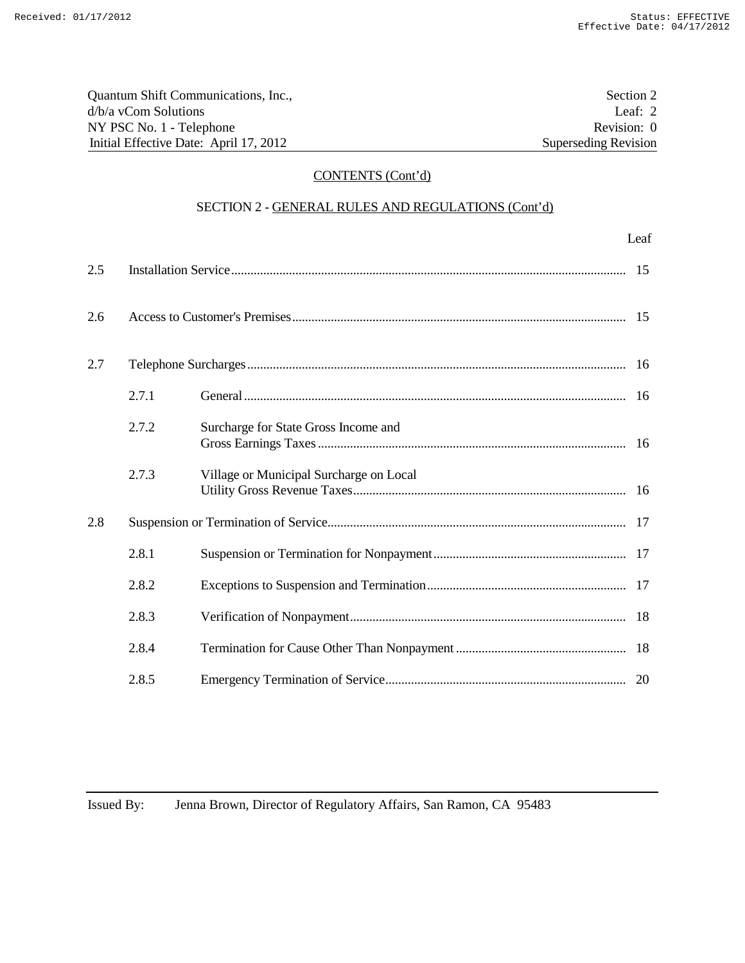| Quantum Shift Communications, Inc.,    | Section 2            |
|----------------------------------------|----------------------|
| $d/b/a$ vCom Solutions                 | Leaf: $2$            |
| NY PSC No. 1 - Telephone               | Revision: 0          |
| Initial Effective Date: April 17, 2012 | Superseding Revision |

# CONTENTS (Cont'd)

# SECTION 2 - GENERAL RULES AND REGULATIONS (Cont'd)

|     |       |                                         | Leaf |
|-----|-------|-----------------------------------------|------|
| 2.5 |       |                                         | 15   |
| 2.6 |       |                                         |      |
| 2.7 |       |                                         | 16   |
|     | 2.7.1 |                                         | 16   |
|     | 2.7.2 | Surcharge for State Gross Income and    |      |
|     | 2.7.3 | Village or Municipal Surcharge on Local |      |
| 2.8 |       |                                         | 17   |
|     | 2.8.1 |                                         |      |
|     | 2.8.2 |                                         |      |
|     | 2.8.3 |                                         |      |
|     | 2.8.4 |                                         |      |
|     | 2.8.5 |                                         |      |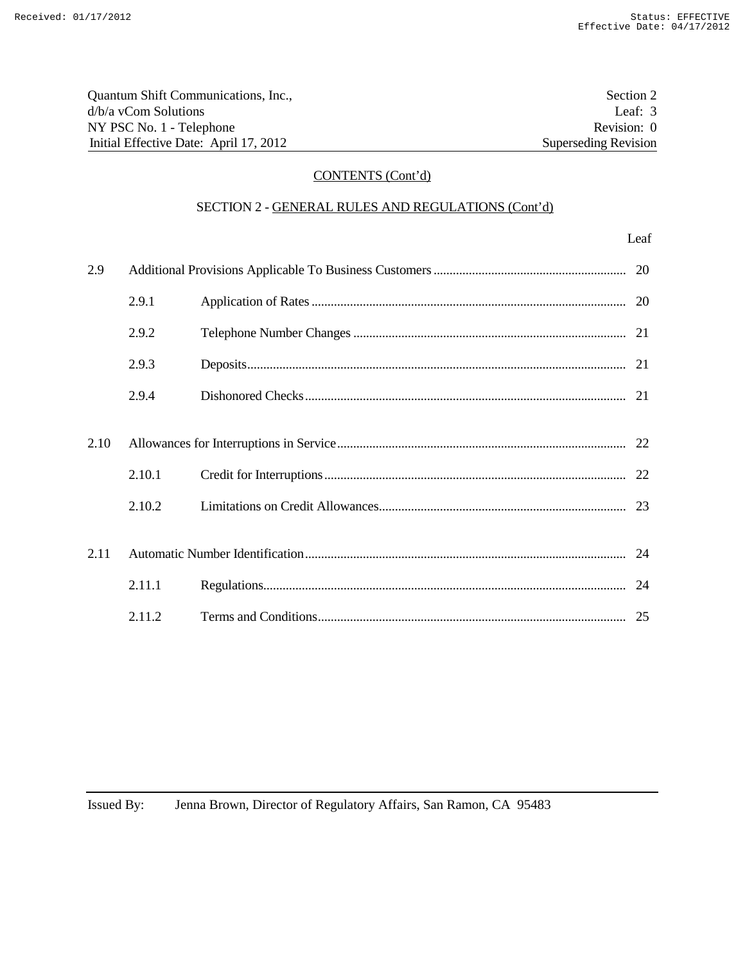| Quantum Shift Communications, Inc.,    | Section 2            |
|----------------------------------------|----------------------|
| d/b/a yCom Solutions                   | Leaf: $3$            |
| NY PSC No. 1 - Telephone               | Revision: 0          |
| Initial Effective Date: April 17, 2012 | Superseding Revision |

# CONTENTS (Cont'd)

# SECTION 2 - GENERAL RULES AND REGULATIONS (Cont'd)

| 2.9  |        |    |
|------|--------|----|
|      | 2.9.1  |    |
|      | 2.9.2  |    |
|      | 2.9.3  |    |
|      | 2.9.4  |    |
|      |        |    |
| 2.10 |        |    |
|      | 2.10.1 |    |
|      | 2.10.2 |    |
|      |        |    |
| 2.11 |        |    |
|      | 2.11.1 | 24 |
|      | 2.11.2 |    |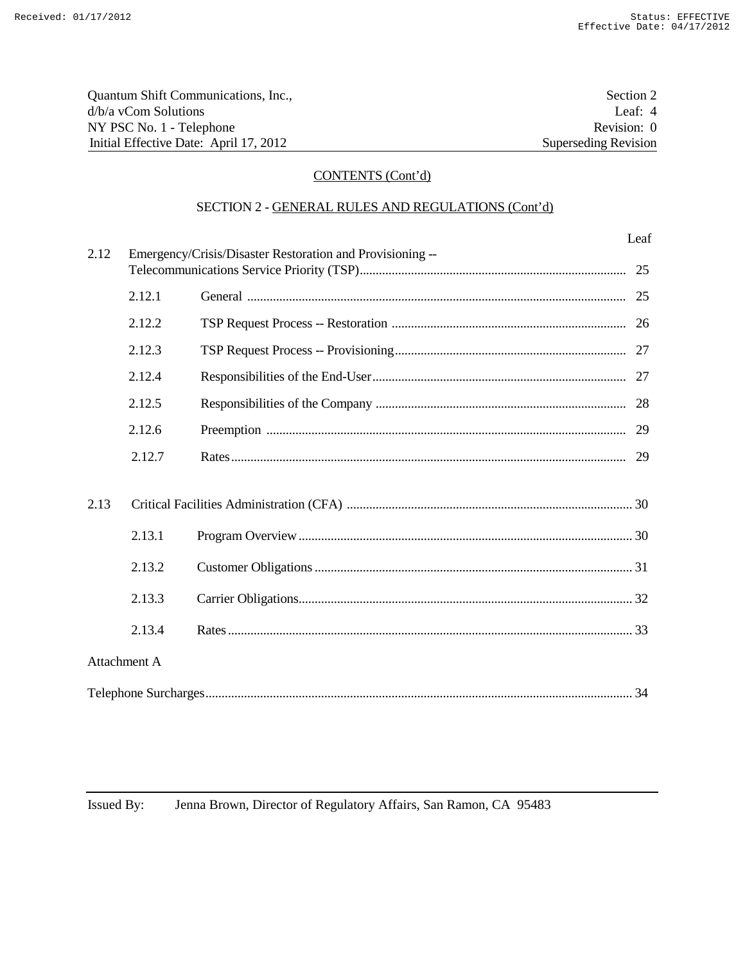Leaf

| Quantum Shift Communications, Inc.,    | Section 2                   |
|----------------------------------------|-----------------------------|
| $d/b/a$ vCom Solutions                 | Leaf: $4$                   |
| NY PSC No. 1 - Telephone               | Revision: 0                 |
| Initial Effective Date: April 17, 2012 | <b>Superseding Revision</b> |

# CONTENTS (Cont'd)

# SECTION 2 - GENERAL RULES AND REGULATIONS (Cont'd)

| 2.12         |        | Emergency/Crisis/Disaster Restoration and Provisioning -- |  |
|--------------|--------|-----------------------------------------------------------|--|
|              | 2.12.1 |                                                           |  |
|              | 2.12.2 |                                                           |  |
|              | 2.12.3 |                                                           |  |
|              | 2.12.4 |                                                           |  |
|              | 2.12.5 |                                                           |  |
|              | 2.12.6 |                                                           |  |
|              | 2.12.7 |                                                           |  |
|              |        |                                                           |  |
| 2.13         |        |                                                           |  |
|              | 2.13.1 |                                                           |  |
|              | 2.13.2 |                                                           |  |
|              | 2.13.3 |                                                           |  |
|              | 2.13.4 |                                                           |  |
| Attachment A |        |                                                           |  |
|              |        |                                                           |  |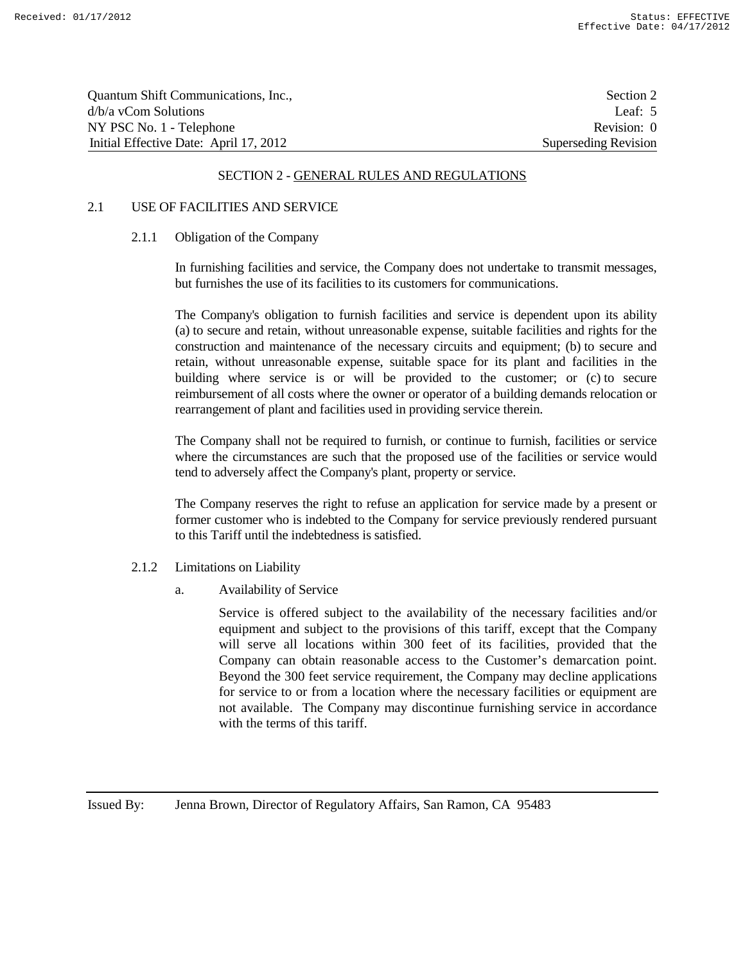| Quantum Shift Communications, Inc.,    | Section 2            |
|----------------------------------------|----------------------|
| $d/b/a$ vCom Solutions                 | Leaf: $5$            |
| NY PSC No. 1 - Telephone               | Revision: 0          |
| Initial Effective Date: April 17, 2012 | Superseding Revision |

#### 2.1 USE OF FACILITIES AND SERVICE

#### 2.1.1 Obligation of the Company

In furnishing facilities and service, the Company does not undertake to transmit messages, but furnishes the use of its facilities to its customers for communications.

The Company's obligation to furnish facilities and service is dependent upon its ability (a) to secure and retain, without unreasonable expense, suitable facilities and rights for the construction and maintenance of the necessary circuits and equipment; (b) to secure and retain, without unreasonable expense, suitable space for its plant and facilities in the building where service is or will be provided to the customer; or (c) to secure reimbursement of all costs where the owner or operator of a building demands relocation or rearrangement of plant and facilities used in providing service therein.

The Company shall not be required to furnish, or continue to furnish, facilities or service where the circumstances are such that the proposed use of the facilities or service would tend to adversely affect the Company's plant, property or service.

The Company reserves the right to refuse an application for service made by a present or former customer who is indebted to the Company for service previously rendered pursuant to this Tariff until the indebtedness is satisfied.

- 2.1.2 Limitations on Liability
	- a. Availability of Service

Service is offered subject to the availability of the necessary facilities and/or equipment and subject to the provisions of this tariff, except that the Company will serve all locations within 300 feet of its facilities, provided that the Company can obtain reasonable access to the Customer's demarcation point. Beyond the 300 feet service requirement, the Company may decline applications for service to or from a location where the necessary facilities or equipment are not available. The Company may discontinue furnishing service in accordance with the terms of this tariff.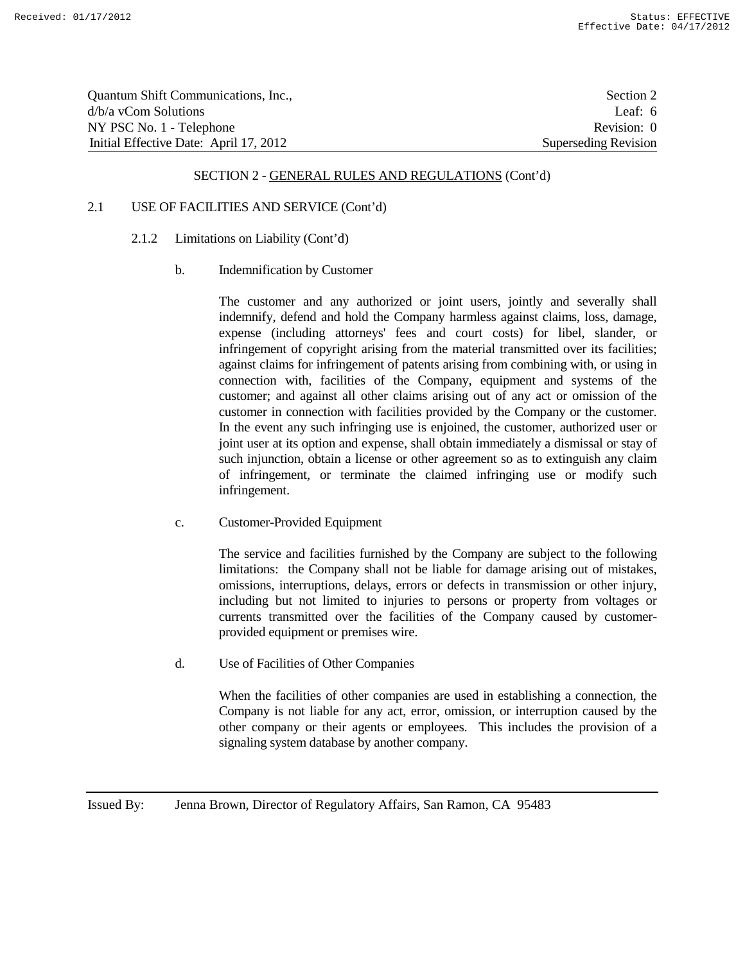| Quantum Shift Communications, Inc.,    | Section 2            |
|----------------------------------------|----------------------|
| $d/b/a$ vCom Solutions                 | Leaf: $6$            |
| NY PSC No. 1 - Telephone               | Revision: 0          |
| Initial Effective Date: April 17, 2012 | Superseding Revision |

## 2.1 USE OF FACILITIES AND SERVICE (Cont'd)

- 2.1.2 Limitations on Liability (Cont'd)
	- b. Indemnification by Customer

The customer and any authorized or joint users, jointly and severally shall indemnify, defend and hold the Company harmless against claims, loss, damage, expense (including attorneys' fees and court costs) for libel, slander, or infringement of copyright arising from the material transmitted over its facilities; against claims for infringement of patents arising from combining with, or using in connection with, facilities of the Company, equipment and systems of the customer; and against all other claims arising out of any act or omission of the customer in connection with facilities provided by the Company or the customer. In the event any such infringing use is enjoined, the customer, authorized user or joint user at its option and expense, shall obtain immediately a dismissal or stay of such injunction, obtain a license or other agreement so as to extinguish any claim of infringement, or terminate the claimed infringing use or modify such infringement.

c. Customer-Provided Equipment

The service and facilities furnished by the Company are subject to the following limitations: the Company shall not be liable for damage arising out of mistakes, omissions, interruptions, delays, errors or defects in transmission or other injury, including but not limited to injuries to persons or property from voltages or currents transmitted over the facilities of the Company caused by customerprovided equipment or premises wire.

d. Use of Facilities of Other Companies

When the facilities of other companies are used in establishing a connection, the Company is not liable for any act, error, omission, or interruption caused by the other company or their agents or employees. This includes the provision of a signaling system database by another company.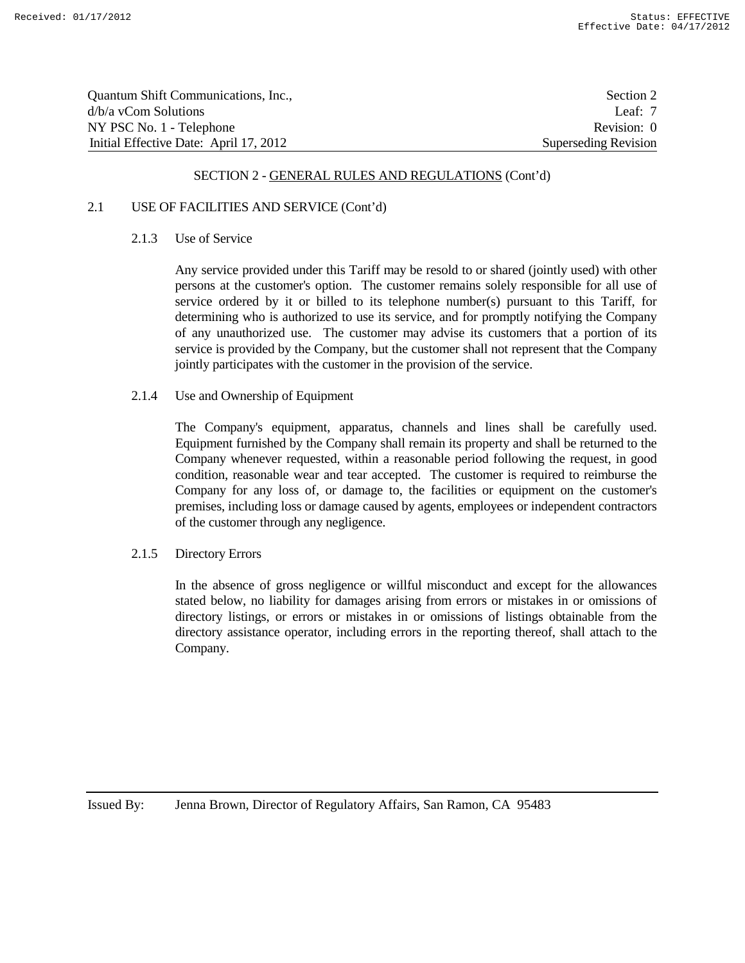| Quantum Shift Communications, Inc.,    | Section 2            |
|----------------------------------------|----------------------|
| $d/b/a$ vCom Solutions                 | Leaf: $7$            |
| NY PSC No. 1 - Telephone               | Revision: 0          |
| Initial Effective Date: April 17, 2012 | Superseding Revision |

#### 2.1 USE OF FACILITIES AND SERVICE (Cont'd)

#### 2.1.3 Use of Service

Any service provided under this Tariff may be resold to or shared (jointly used) with other persons at the customer's option. The customer remains solely responsible for all use of service ordered by it or billed to its telephone number(s) pursuant to this Tariff, for determining who is authorized to use its service, and for promptly notifying the Company of any unauthorized use. The customer may advise its customers that a portion of its service is provided by the Company, but the customer shall not represent that the Company jointly participates with the customer in the provision of the service.

#### 2.1.4 Use and Ownership of Equipment

The Company's equipment, apparatus, channels and lines shall be carefully used. Equipment furnished by the Company shall remain its property and shall be returned to the Company whenever requested, within a reasonable period following the request, in good condition, reasonable wear and tear accepted. The customer is required to reimburse the Company for any loss of, or damage to, the facilities or equipment on the customer's premises, including loss or damage caused by agents, employees or independent contractors of the customer through any negligence.

#### 2.1.5 Directory Errors

In the absence of gross negligence or willful misconduct and except for the allowances stated below, no liability for damages arising from errors or mistakes in or omissions of directory listings, or errors or mistakes in or omissions of listings obtainable from the directory assistance operator, including errors in the reporting thereof, shall attach to the Company.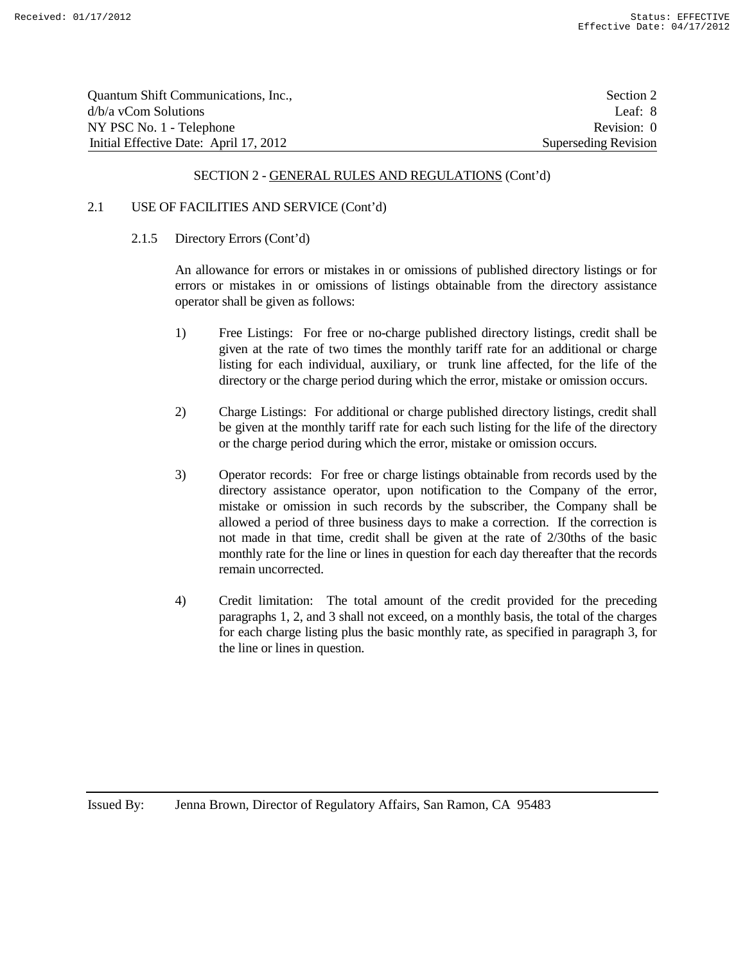| Quantum Shift Communications, Inc.,    | Section 2            |
|----------------------------------------|----------------------|
| $d/b/a$ vCom Solutions                 | Leaf: 8              |
| NY PSC No. 1 - Telephone               | Revision: 0          |
| Initial Effective Date: April 17, 2012 | Superseding Revision |

#### 2.1 USE OF FACILITIES AND SERVICE (Cont'd)

2.1.5 Directory Errors (Cont'd)

An allowance for errors or mistakes in or omissions of published directory listings or for errors or mistakes in or omissions of listings obtainable from the directory assistance operator shall be given as follows:

- 1) Free Listings: For free or no-charge published directory listings, credit shall be given at the rate of two times the monthly tariff rate for an additional or charge listing for each individual, auxiliary, or trunk line affected, for the life of the directory or the charge period during which the error, mistake or omission occurs.
- 2) Charge Listings: For additional or charge published directory listings, credit shall be given at the monthly tariff rate for each such listing for the life of the directory or the charge period during which the error, mistake or omission occurs.
- 3) Operator records: For free or charge listings obtainable from records used by the directory assistance operator, upon notification to the Company of the error, mistake or omission in such records by the subscriber, the Company shall be allowed a period of three business days to make a correction. If the correction is not made in that time, credit shall be given at the rate of 2/30ths of the basic monthly rate for the line or lines in question for each day thereafter that the records remain uncorrected.
- 4) Credit limitation: The total amount of the credit provided for the preceding paragraphs 1, 2, and 3 shall not exceed, on a monthly basis, the total of the charges for each charge listing plus the basic monthly rate, as specified in paragraph 3, for the line or lines in question.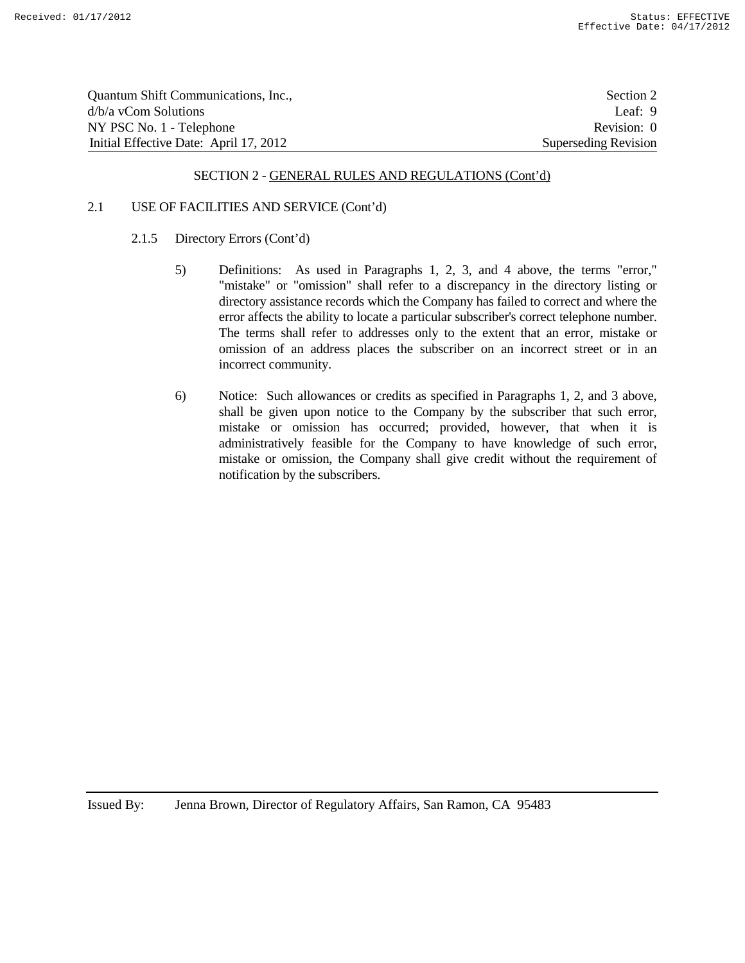| Quantum Shift Communications, Inc.,    | Section 2            |
|----------------------------------------|----------------------|
| $d/b/a$ vCom Solutions                 | Leaf: $9$            |
| NY PSC No. 1 - Telephone               | Revision: 0          |
| Initial Effective Date: April 17, 2012 | Superseding Revision |

### 2.1 USE OF FACILITIES AND SERVICE (Cont'd)

- 2.1.5 Directory Errors (Cont'd)
	- 5) Definitions: As used in Paragraphs 1, 2, 3, and 4 above, the terms "error," "mistake" or "omission" shall refer to a discrepancy in the directory listing or directory assistance records which the Company has failed to correct and where the error affects the ability to locate a particular subscriber's correct telephone number. The terms shall refer to addresses only to the extent that an error, mistake or omission of an address places the subscriber on an incorrect street or in an incorrect community.
	- 6) Notice: Such allowances or credits as specified in Paragraphs 1, 2, and 3 above, shall be given upon notice to the Company by the subscriber that such error, mistake or omission has occurred; provided, however, that when it is administratively feasible for the Company to have knowledge of such error, mistake or omission, the Company shall give credit without the requirement of notification by the subscribers.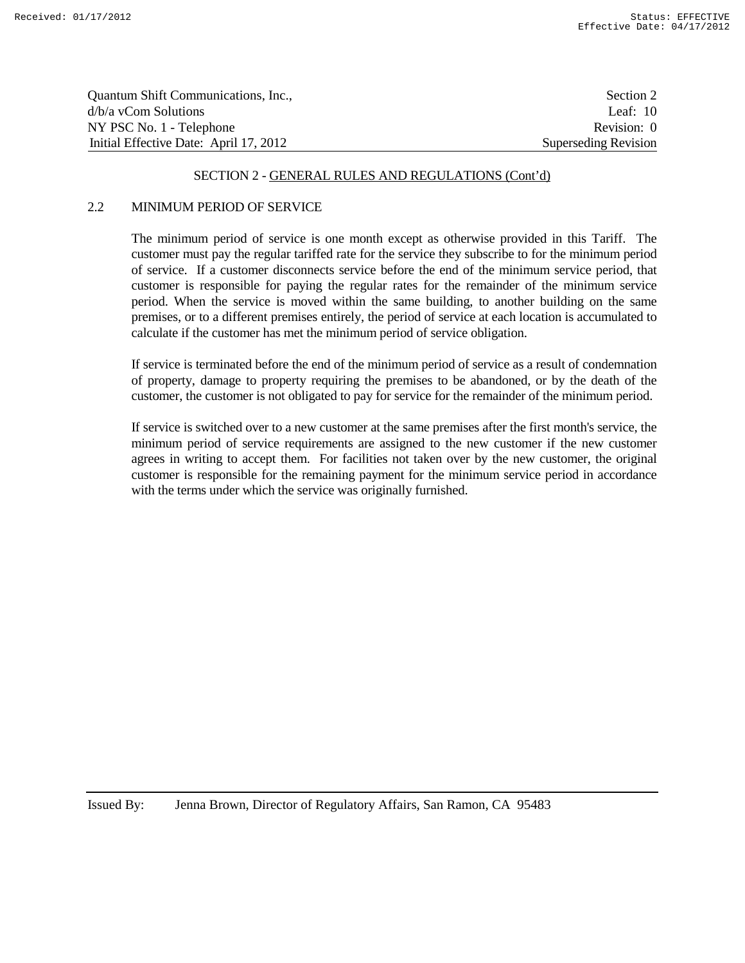| Quantum Shift Communications, Inc.,    | Section 2            |
|----------------------------------------|----------------------|
| $d/b/a$ vCom Solutions                 | Leaf: $10$           |
| NY PSC No. 1 - Telephone               | Revision: 0          |
| Initial Effective Date: April 17, 2012 | Superseding Revision |

### 2.2 MINIMUM PERIOD OF SERVICE

The minimum period of service is one month except as otherwise provided in this Tariff. The customer must pay the regular tariffed rate for the service they subscribe to for the minimum period of service. If a customer disconnects service before the end of the minimum service period, that customer is responsible for paying the regular rates for the remainder of the minimum service period. When the service is moved within the same building, to another building on the same premises, or to a different premises entirely, the period of service at each location is accumulated to calculate if the customer has met the minimum period of service obligation.

If service is terminated before the end of the minimum period of service as a result of condemnation of property, damage to property requiring the premises to be abandoned, or by the death of the customer, the customer is not obligated to pay for service for the remainder of the minimum period.

If service is switched over to a new customer at the same premises after the first month's service, the minimum period of service requirements are assigned to the new customer if the new customer agrees in writing to accept them. For facilities not taken over by the new customer, the original customer is responsible for the remaining payment for the minimum service period in accordance with the terms under which the service was originally furnished.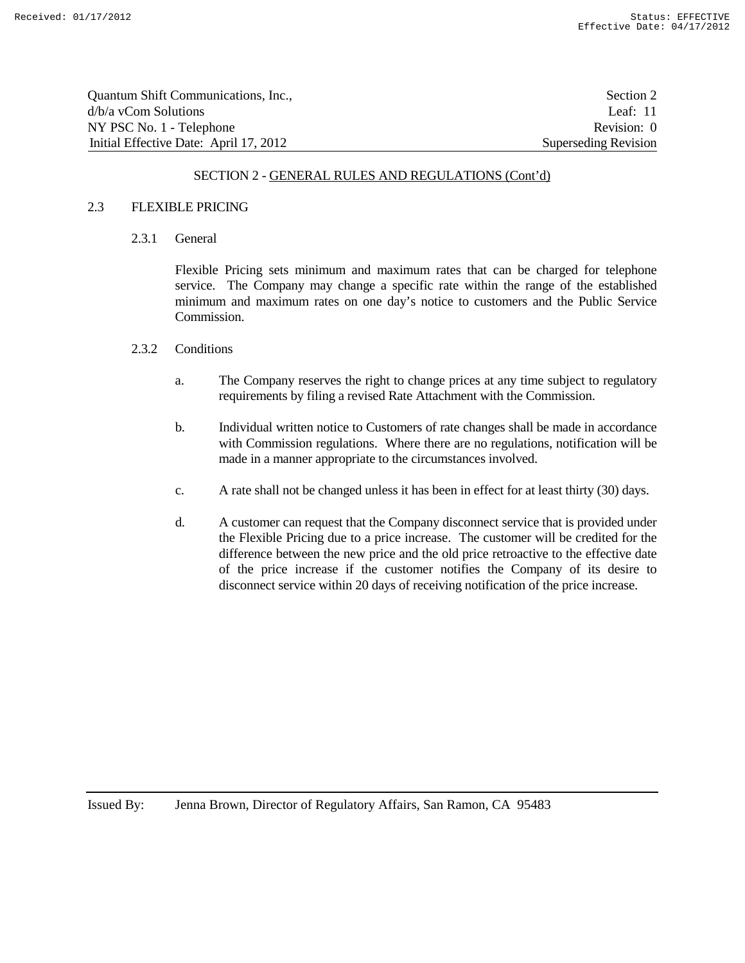| Quantum Shift Communications, Inc.,    | Section 2            |
|----------------------------------------|----------------------|
| $d/b/a$ vCom Solutions                 | Leaf: $11$           |
| NY PSC No. 1 - Telephone               | Revision: 0          |
| Initial Effective Date: April 17, 2012 | Superseding Revision |

#### 2.3 FLEXIBLE PRICING

2.3.1 General

Flexible Pricing sets minimum and maximum rates that can be charged for telephone service. The Company may change a specific rate within the range of the established minimum and maximum rates on one day's notice to customers and the Public Service Commission.

#### 2.3.2 Conditions

- a. The Company reserves the right to change prices at any time subject to regulatory requirements by filing a revised Rate Attachment with the Commission.
- b. Individual written notice to Customers of rate changes shall be made in accordance with Commission regulations. Where there are no regulations, notification will be made in a manner appropriate to the circumstances involved.
- c. A rate shall not be changed unless it has been in effect for at least thirty (30) days.
- d. A customer can request that the Company disconnect service that is provided under the Flexible Pricing due to a price increase. The customer will be credited for the difference between the new price and the old price retroactive to the effective date of the price increase if the customer notifies the Company of its desire to disconnect service within 20 days of receiving notification of the price increase.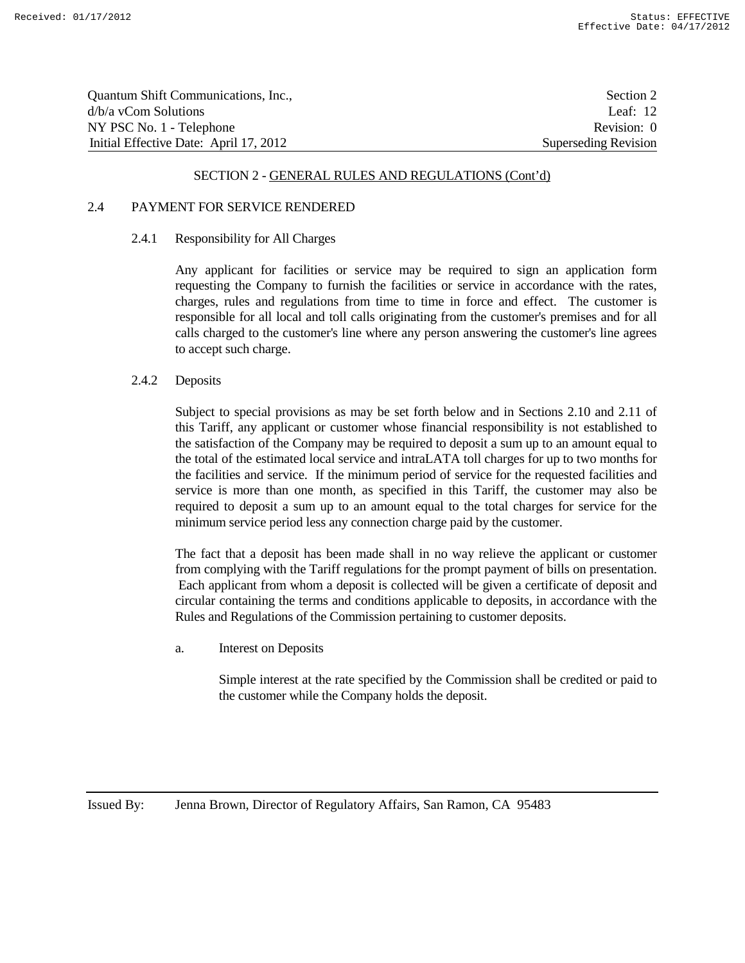| Quantum Shift Communications, Inc.,    | Section 2            |
|----------------------------------------|----------------------|
| d/b/a yCom Solutions                   | Leaf: $12$           |
| NY PSC No. 1 - Telephone               | Revision: 0          |
| Initial Effective Date: April 17, 2012 | Superseding Revision |

## 2.4 PAYMENT FOR SERVICE RENDERED

#### 2.4.1 Responsibility for All Charges

Any applicant for facilities or service may be required to sign an application form requesting the Company to furnish the facilities or service in accordance with the rates, charges, rules and regulations from time to time in force and effect. The customer is responsible for all local and toll calls originating from the customer's premises and for all calls charged to the customer's line where any person answering the customer's line agrees to accept such charge.

### 2.4.2 Deposits

Subject to special provisions as may be set forth below and in Sections 2.10 and 2.11 of this Tariff, any applicant or customer whose financial responsibility is not established to the satisfaction of the Company may be required to deposit a sum up to an amount equal to the total of the estimated local service and intraLATA toll charges for up to two months for the facilities and service. If the minimum period of service for the requested facilities and service is more than one month, as specified in this Tariff, the customer may also be required to deposit a sum up to an amount equal to the total charges for service for the minimum service period less any connection charge paid by the customer.

The fact that a deposit has been made shall in no way relieve the applicant or customer from complying with the Tariff regulations for the prompt payment of bills on presentation. Each applicant from whom a deposit is collected will be given a certificate of deposit and circular containing the terms and conditions applicable to deposits, in accordance with the Rules and Regulations of the Commission pertaining to customer deposits.

a. Interest on Deposits

Simple interest at the rate specified by the Commission shall be credited or paid to the customer while the Company holds the deposit.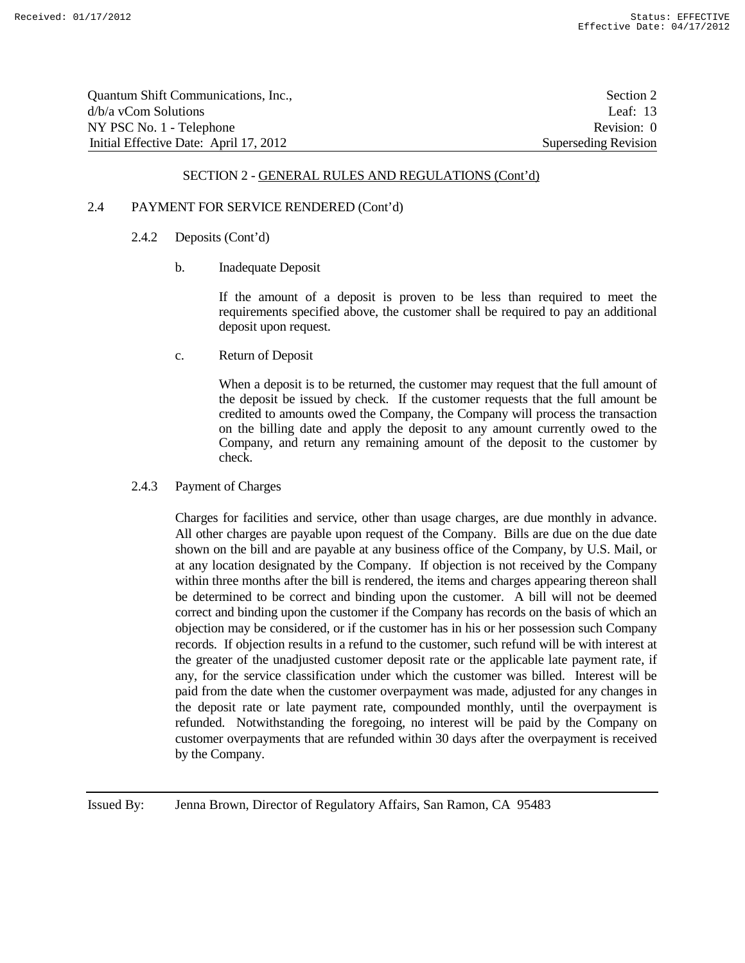| Quantum Shift Communications, Inc.,    | Section 2            |
|----------------------------------------|----------------------|
| $d/b/a$ vCom Solutions                 | Leaf: $13$           |
| NY PSC No. 1 - Telephone               | Revision: 0          |
| Initial Effective Date: April 17, 2012 | Superseding Revision |

#### 2.4 PAYMENT FOR SERVICE RENDERED (Cont'd)

- 2.4.2 Deposits (Cont'd)
	- b. Inadequate Deposit

If the amount of a deposit is proven to be less than required to meet the requirements specified above, the customer shall be required to pay an additional deposit upon request.

c. Return of Deposit

When a deposit is to be returned, the customer may request that the full amount of the deposit be issued by check. If the customer requests that the full amount be credited to amounts owed the Company, the Company will process the transaction on the billing date and apply the deposit to any amount currently owed to the Company, and return any remaining amount of the deposit to the customer by check.

2.4.3 Payment of Charges

Charges for facilities and service, other than usage charges, are due monthly in advance. All other charges are payable upon request of the Company. Bills are due on the due date shown on the bill and are payable at any business office of the Company, by U.S. Mail, or at any location designated by the Company. If objection is not received by the Company within three months after the bill is rendered, the items and charges appearing thereon shall be determined to be correct and binding upon the customer. A bill will not be deemed correct and binding upon the customer if the Company has records on the basis of which an objection may be considered, or if the customer has in his or her possession such Company records. If objection results in a refund to the customer, such refund will be with interest at the greater of the unadjusted customer deposit rate or the applicable late payment rate, if any, for the service classification under which the customer was billed. Interest will be paid from the date when the customer overpayment was made, adjusted for any changes in the deposit rate or late payment rate, compounded monthly, until the overpayment is refunded. Notwithstanding the foregoing, no interest will be paid by the Company on customer overpayments that are refunded within 30 days after the overpayment is received by the Company.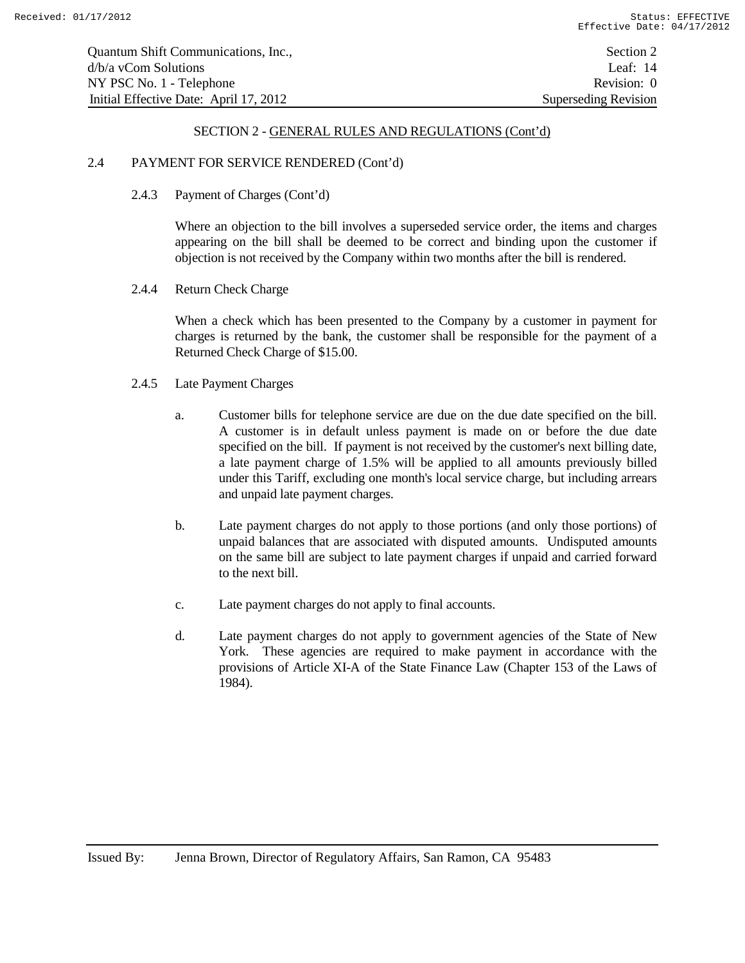#### 2.4 PAYMENT FOR SERVICE RENDERED (Cont'd)

2.4.3 Payment of Charges (Cont'd)

Where an objection to the bill involves a superseded service order, the items and charges appearing on the bill shall be deemed to be correct and binding upon the customer if objection is not received by the Company within two months after the bill is rendered.

2.4.4 Return Check Charge

When a check which has been presented to the Company by a customer in payment for charges is returned by the bank, the customer shall be responsible for the payment of a Returned Check Charge of \$15.00.

- 2.4.5 Late Payment Charges
	- a. Customer bills for telephone service are due on the due date specified on the bill. A customer is in default unless payment is made on or before the due date specified on the bill. If payment is not received by the customer's next billing date, a late payment charge of 1.5% will be applied to all amounts previously billed under this Tariff, excluding one month's local service charge, but including arrears and unpaid late payment charges.
	- b. Late payment charges do not apply to those portions (and only those portions) of unpaid balances that are associated with disputed amounts. Undisputed amounts on the same bill are subject to late payment charges if unpaid and carried forward to the next bill.
	- c. Late payment charges do not apply to final accounts.
	- d. Late payment charges do not apply to government agencies of the State of New York. These agencies are required to make payment in accordance with the provisions of Article XI-A of the State Finance Law (Chapter 153 of the Laws of 1984).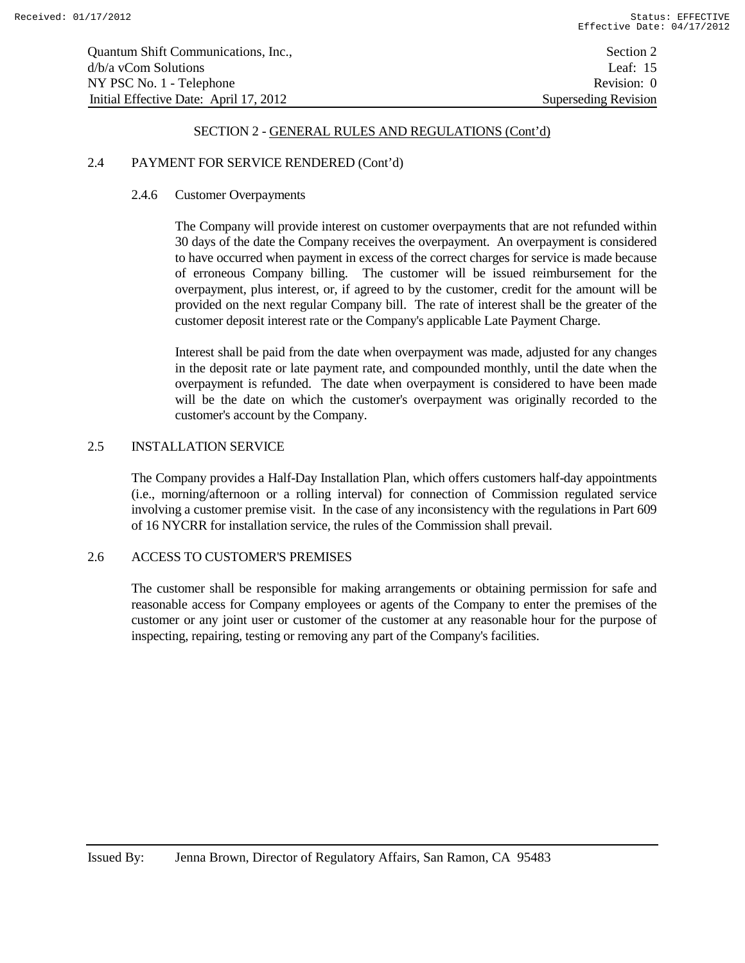#### 2.4 PAYMENT FOR SERVICE RENDERED (Cont'd)

#### 2.4.6 Customer Overpayments

The Company will provide interest on customer overpayments that are not refunded within 30 days of the date the Company receives the overpayment. An overpayment is considered to have occurred when payment in excess of the correct charges for service is made because of erroneous Company billing. The customer will be issued reimbursement for the overpayment, plus interest, or, if agreed to by the customer, credit for the amount will be provided on the next regular Company bill. The rate of interest shall be the greater of the customer deposit interest rate or the Company's applicable Late Payment Charge.

Interest shall be paid from the date when overpayment was made, adjusted for any changes in the deposit rate or late payment rate, and compounded monthly, until the date when the overpayment is refunded. The date when overpayment is considered to have been made will be the date on which the customer's overpayment was originally recorded to the customer's account by the Company.

# 2.5 INSTALLATION SERVICE

The Company provides a Half-Day Installation Plan, which offers customers half-day appointments (i.e., morning/afternoon or a rolling interval) for connection of Commission regulated service involving a customer premise visit. In the case of any inconsistency with the regulations in Part 609 of 16 NYCRR for installation service, the rules of the Commission shall prevail.

#### 2.6 ACCESS TO CUSTOMER'S PREMISES

The customer shall be responsible for making arrangements or obtaining permission for safe and reasonable access for Company employees or agents of the Company to enter the premises of the customer or any joint user or customer of the customer at any reasonable hour for the purpose of inspecting, repairing, testing or removing any part of the Company's facilities.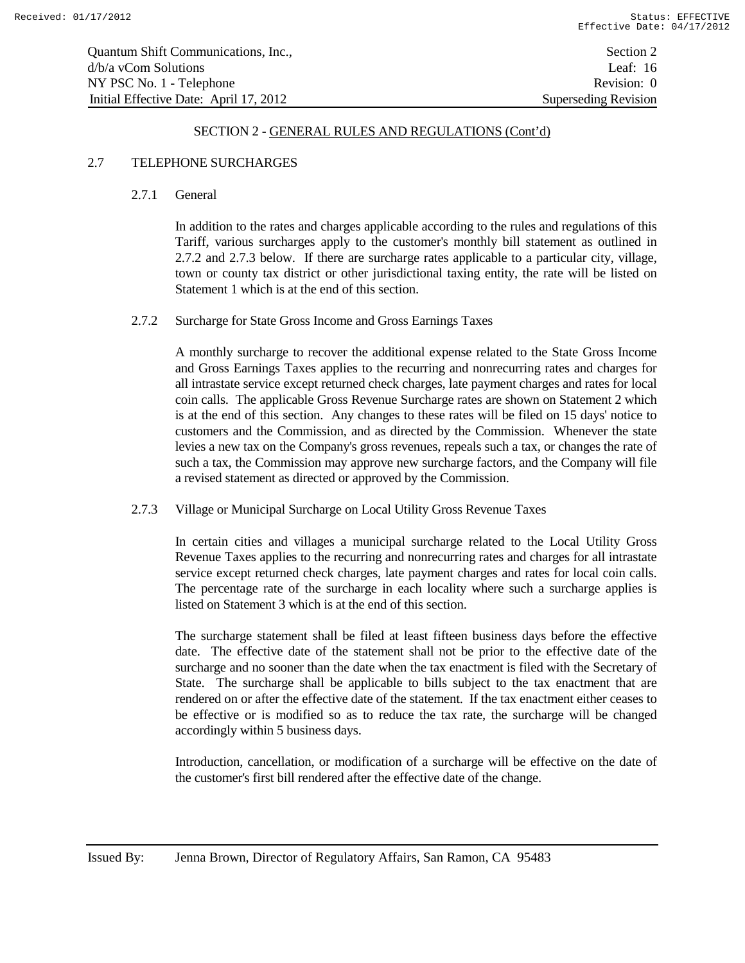| Quantum Shift Communications, Inc.,    | Section 2                   |
|----------------------------------------|-----------------------------|
| $d/b/a$ vCom Solutions                 | Leaf: $16$                  |
| NY PSC No. 1 - Telephone               | Revision: 0                 |
| Initial Effective Date: April 17, 2012 | <b>Superseding Revision</b> |

#### 2.7 TELEPHONE SURCHARGES

#### 2.7.1 General

In addition to the rates and charges applicable according to the rules and regulations of this Tariff, various surcharges apply to the customer's monthly bill statement as outlined in 2.7.2 and 2.7.3 below. If there are surcharge rates applicable to a particular city, village, town or county tax district or other jurisdictional taxing entity, the rate will be listed on Statement 1 which is at the end of this section.

#### 2.7.2 Surcharge for State Gross Income and Gross Earnings Taxes

A monthly surcharge to recover the additional expense related to the State Gross Income and Gross Earnings Taxes applies to the recurring and nonrecurring rates and charges for all intrastate service except returned check charges, late payment charges and rates for local coin calls. The applicable Gross Revenue Surcharge rates are shown on Statement 2 which is at the end of this section. Any changes to these rates will be filed on 15 days' notice to customers and the Commission, and as directed by the Commission. Whenever the state levies a new tax on the Company's gross revenues, repeals such a tax, or changes the rate of such a tax, the Commission may approve new surcharge factors, and the Company will file a revised statement as directed or approved by the Commission.

#### 2.7.3 Village or Municipal Surcharge on Local Utility Gross Revenue Taxes

In certain cities and villages a municipal surcharge related to the Local Utility Gross Revenue Taxes applies to the recurring and nonrecurring rates and charges for all intrastate service except returned check charges, late payment charges and rates for local coin calls. The percentage rate of the surcharge in each locality where such a surcharge applies is listed on Statement 3 which is at the end of this section.

The surcharge statement shall be filed at least fifteen business days before the effective date. The effective date of the statement shall not be prior to the effective date of the surcharge and no sooner than the date when the tax enactment is filed with the Secretary of State. The surcharge shall be applicable to bills subject to the tax enactment that are rendered on or after the effective date of the statement. If the tax enactment either ceases to be effective or is modified so as to reduce the tax rate, the surcharge will be changed accordingly within 5 business days.

Introduction, cancellation, or modification of a surcharge will be effective on the date of the customer's first bill rendered after the effective date of the change.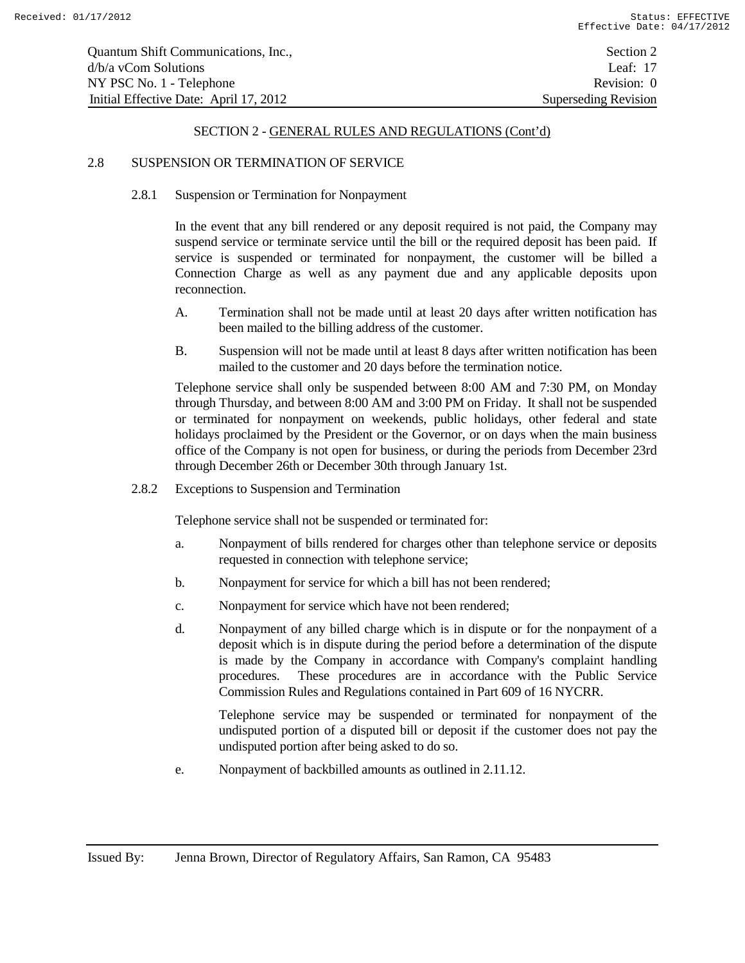## 2.8 SUSPENSION OR TERMINATION OF SERVICE

#### 2.8.1 Suspension or Termination for Nonpayment

In the event that any bill rendered or any deposit required is not paid, the Company may suspend service or terminate service until the bill or the required deposit has been paid. If service is suspended or terminated for nonpayment, the customer will be billed a Connection Charge as well as any payment due and any applicable deposits upon reconnection.

- A. Termination shall not be made until at least 20 days after written notification has been mailed to the billing address of the customer.
- B. Suspension will not be made until at least 8 days after written notification has been mailed to the customer and 20 days before the termination notice.

Telephone service shall only be suspended between 8:00 AM and 7:30 PM, on Monday through Thursday, and between 8:00 AM and 3:00 PM on Friday. It shall not be suspended or terminated for nonpayment on weekends, public holidays, other federal and state holidays proclaimed by the President or the Governor, or on days when the main business office of the Company is not open for business, or during the periods from December 23rd through December 26th or December 30th through January 1st.

2.8.2 Exceptions to Suspension and Termination

Telephone service shall not be suspended or terminated for:

- a. Nonpayment of bills rendered for charges other than telephone service or deposits requested in connection with telephone service;
- b. Nonpayment for service for which a bill has not been rendered;
- c. Nonpayment for service which have not been rendered;
- d. Nonpayment of any billed charge which is in dispute or for the nonpayment of a deposit which is in dispute during the period before a determination of the dispute is made by the Company in accordance with Company's complaint handling procedures. These procedures are in accordance with the Public Service Commission Rules and Regulations contained in Part 609 of 16 NYCRR.

Telephone service may be suspended or terminated for nonpayment of the undisputed portion of a disputed bill or deposit if the customer does not pay the undisputed portion after being asked to do so.

e. Nonpayment of backbilled amounts as outlined in 2.11.12.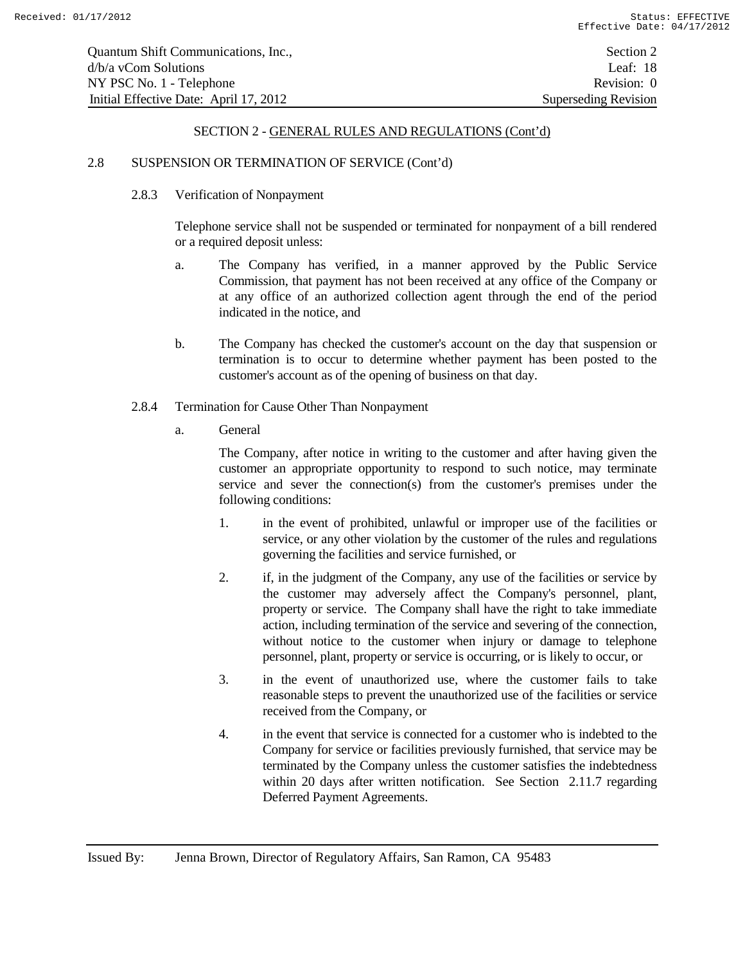# 2.8 SUSPENSION OR TERMINATION OF SERVICE (Cont'd)

#### 2.8.3 Verification of Nonpayment

Telephone service shall not be suspended or terminated for nonpayment of a bill rendered or a required deposit unless:

- a. The Company has verified, in a manner approved by the Public Service Commission, that payment has not been received at any office of the Company or at any office of an authorized collection agent through the end of the period indicated in the notice, and
- b. The Company has checked the customer's account on the day that suspension or termination is to occur to determine whether payment has been posted to the customer's account as of the opening of business on that day.

#### 2.8.4 Termination for Cause Other Than Nonpayment

a. General

The Company, after notice in writing to the customer and after having given the customer an appropriate opportunity to respond to such notice, may terminate service and sever the connection(s) from the customer's premises under the following conditions:

- 1. in the event of prohibited, unlawful or improper use of the facilities or service, or any other violation by the customer of the rules and regulations governing the facilities and service furnished, or
- 2. if, in the judgment of the Company, any use of the facilities or service by the customer may adversely affect the Company's personnel, plant, property or service. The Company shall have the right to take immediate action, including termination of the service and severing of the connection, without notice to the customer when injury or damage to telephone personnel, plant, property or service is occurring, or is likely to occur, or
- 3. in the event of unauthorized use, where the customer fails to take reasonable steps to prevent the unauthorized use of the facilities or service received from the Company, or
- 4. in the event that service is connected for a customer who is indebted to the Company for service or facilities previously furnished, that service may be terminated by the Company unless the customer satisfies the indebtedness within 20 days after written notification. See Section 2.11.7 regarding Deferred Payment Agreements.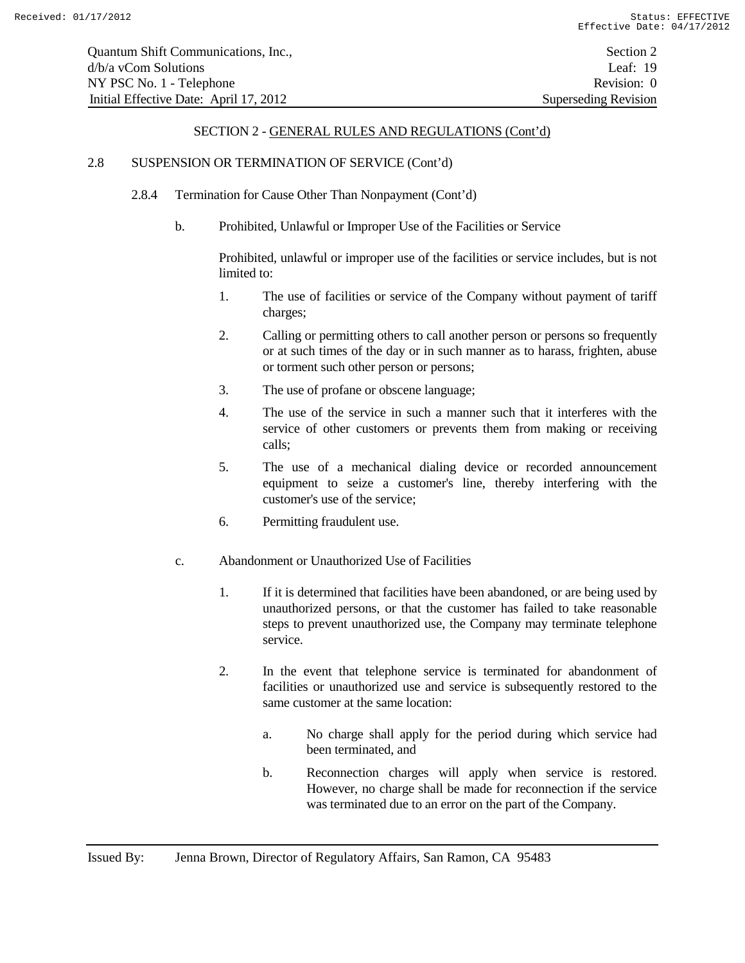## 2.8 SUSPENSION OR TERMINATION OF SERVICE (Cont'd)

- 2.8.4 Termination for Cause Other Than Nonpayment (Cont'd)
	- b. Prohibited, Unlawful or Improper Use of the Facilities or Service

Prohibited, unlawful or improper use of the facilities or service includes, but is not limited to:

- 1. The use of facilities or service of the Company without payment of tariff charges;
- 2. Calling or permitting others to call another person or persons so frequently or at such times of the day or in such manner as to harass, frighten, abuse or torment such other person or persons;
- 3. The use of profane or obscene language;
- 4. The use of the service in such a manner such that it interferes with the service of other customers or prevents them from making or receiving calls;
- 5. The use of a mechanical dialing device or recorded announcement equipment to seize a customer's line, thereby interfering with the customer's use of the service;
- 6. Permitting fraudulent use.
- c. Abandonment or Unauthorized Use of Facilities
	- 1. If it is determined that facilities have been abandoned, or are being used by unauthorized persons, or that the customer has failed to take reasonable steps to prevent unauthorized use, the Company may terminate telephone service.
	- 2. In the event that telephone service is terminated for abandonment of facilities or unauthorized use and service is subsequently restored to the same customer at the same location:
		- a. No charge shall apply for the period during which service had been terminated, and
		- b. Reconnection charges will apply when service is restored. However, no charge shall be made for reconnection if the service was terminated due to an error on the part of the Company.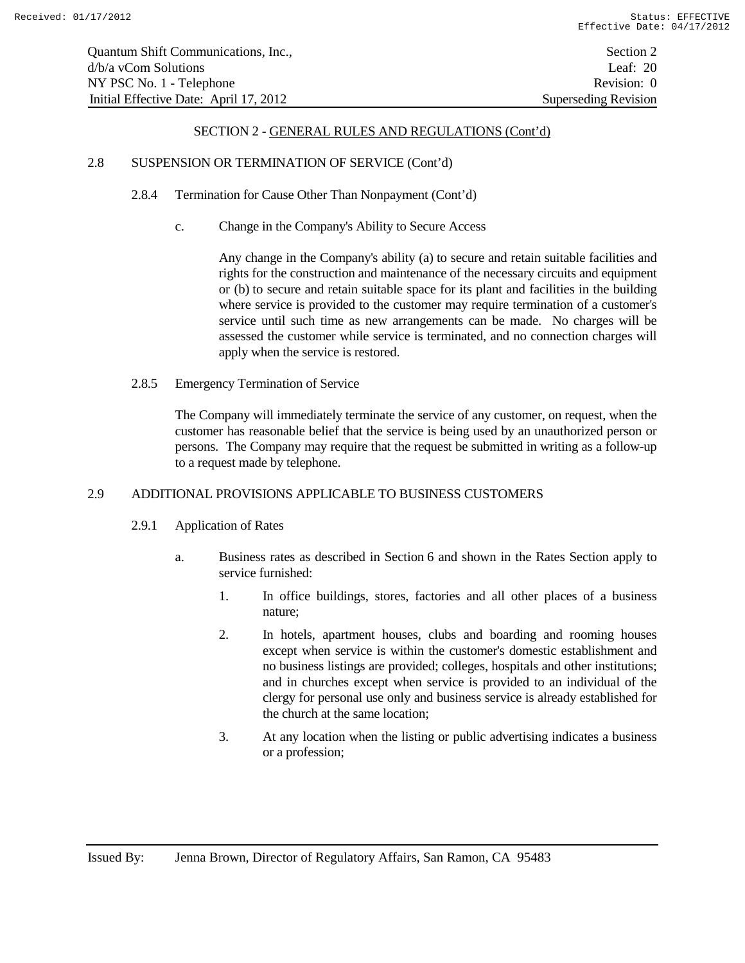## 2.8 SUSPENSION OR TERMINATION OF SERVICE (Cont'd)

- 2.8.4 Termination for Cause Other Than Nonpayment (Cont'd)
	- c. Change in the Company's Ability to Secure Access

Any change in the Company's ability (a) to secure and retain suitable facilities and rights for the construction and maintenance of the necessary circuits and equipment or (b) to secure and retain suitable space for its plant and facilities in the building where service is provided to the customer may require termination of a customer's service until such time as new arrangements can be made. No charges will be assessed the customer while service is terminated, and no connection charges will apply when the service is restored.

2.8.5 Emergency Termination of Service

The Company will immediately terminate the service of any customer, on request, when the customer has reasonable belief that the service is being used by an unauthorized person or persons. The Company may require that the request be submitted in writing as a follow-up to a request made by telephone.

# 2.9 ADDITIONAL PROVISIONS APPLICABLE TO BUSINESS CUSTOMERS

- 2.9.1 Application of Rates
	- a. Business rates as described in Section 6 and shown in the Rates Section apply to service furnished:
		- 1. In office buildings, stores, factories and all other places of a business nature;
		- 2. In hotels, apartment houses, clubs and boarding and rooming houses except when service is within the customer's domestic establishment and no business listings are provided; colleges, hospitals and other institutions; and in churches except when service is provided to an individual of the clergy for personal use only and business service is already established for the church at the same location;
		- 3. At any location when the listing or public advertising indicates a business or a profession;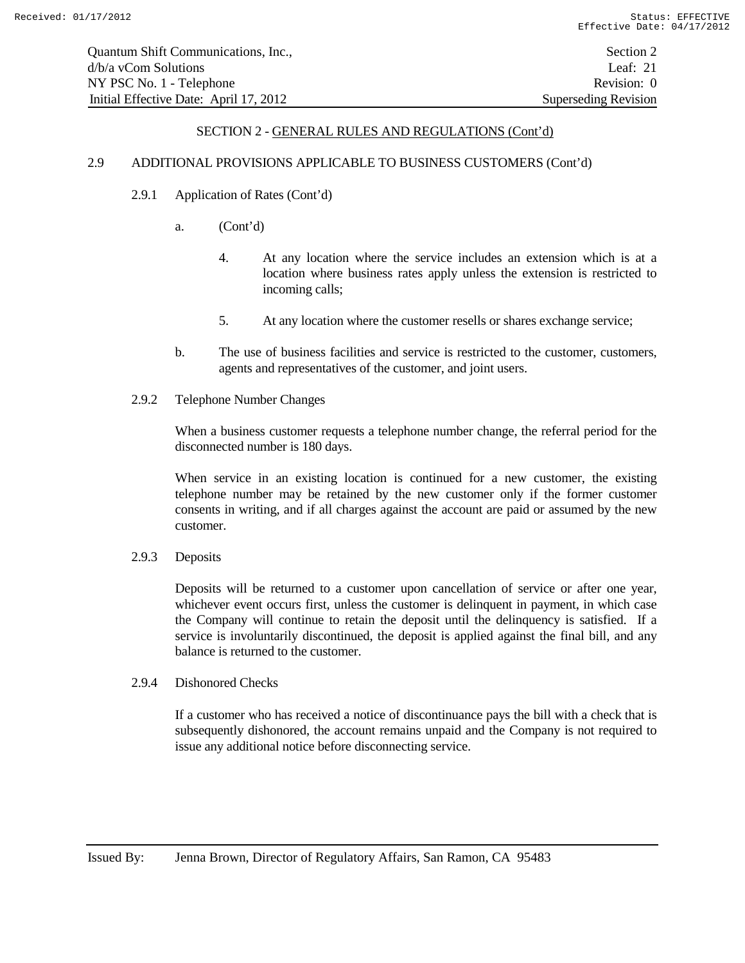#### 2.9 ADDITIONAL PROVISIONS APPLICABLE TO BUSINESS CUSTOMERS (Cont'd)

- 2.9.1 Application of Rates (Cont'd)
	- a. (Cont'd)
		- 4. At any location where the service includes an extension which is at a location where business rates apply unless the extension is restricted to incoming calls;
		- 5. At any location where the customer resells or shares exchange service;
	- b. The use of business facilities and service is restricted to the customer, customers, agents and representatives of the customer, and joint users.
- 2.9.2 Telephone Number Changes

When a business customer requests a telephone number change, the referral period for the disconnected number is 180 days.

When service in an existing location is continued for a new customer, the existing telephone number may be retained by the new customer only if the former customer consents in writing, and if all charges against the account are paid or assumed by the new customer.

2.9.3 Deposits

Deposits will be returned to a customer upon cancellation of service or after one year, whichever event occurs first, unless the customer is delinquent in payment, in which case the Company will continue to retain the deposit until the delinquency is satisfied. If a service is involuntarily discontinued, the deposit is applied against the final bill, and any balance is returned to the customer.

2.9.4 Dishonored Checks

If a customer who has received a notice of discontinuance pays the bill with a check that is subsequently dishonored, the account remains unpaid and the Company is not required to issue any additional notice before disconnecting service.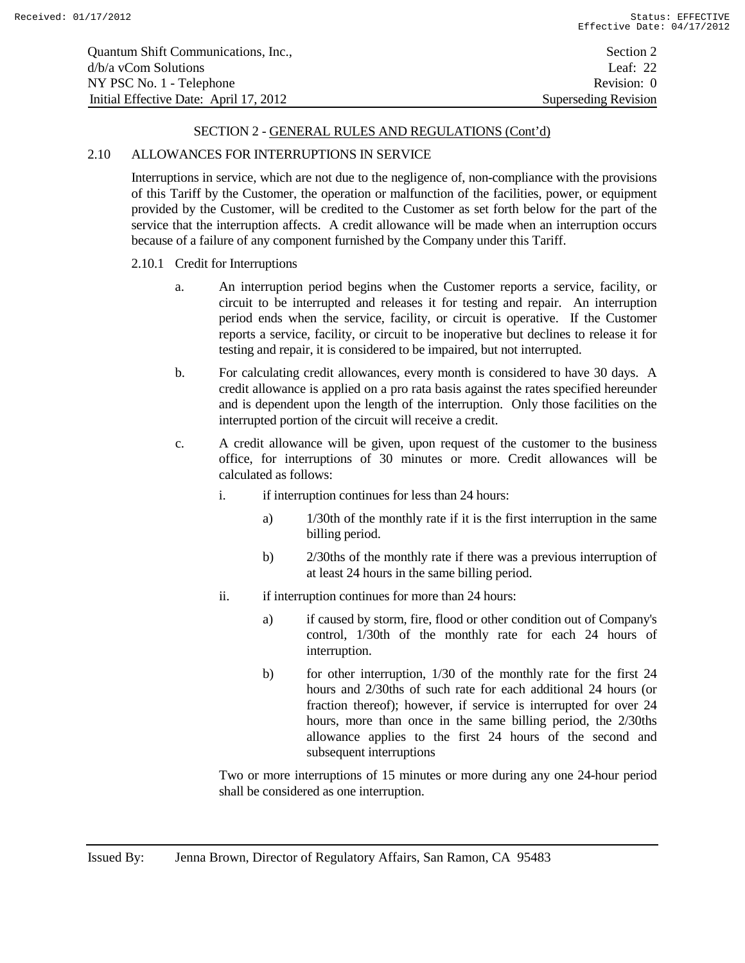| Quantum Shift Communications, Inc.,    | Section 2                   |
|----------------------------------------|-----------------------------|
| $d/b/a$ vCom Solutions                 | Leaf: 22                    |
| NY PSC No. 1 - Telephone               | Revision: 0                 |
| Initial Effective Date: April 17, 2012 | <b>Superseding Revision</b> |

# 2.10 ALLOWANCES FOR INTERRUPTIONS IN SERVICE

Interruptions in service, which are not due to the negligence of, non-compliance with the provisions of this Tariff by the Customer, the operation or malfunction of the facilities, power, or equipment provided by the Customer, will be credited to the Customer as set forth below for the part of the service that the interruption affects. A credit allowance will be made when an interruption occurs because of a failure of any component furnished by the Company under this Tariff.

#### 2.10.1 Credit for Interruptions

- a. An interruption period begins when the Customer reports a service, facility, or circuit to be interrupted and releases it for testing and repair. An interruption period ends when the service, facility, or circuit is operative. If the Customer reports a service, facility, or circuit to be inoperative but declines to release it for testing and repair, it is considered to be impaired, but not interrupted.
- b. For calculating credit allowances, every month is considered to have 30 days. A credit allowance is applied on a pro rata basis against the rates specified hereunder and is dependent upon the length of the interruption. Only those facilities on the interrupted portion of the circuit will receive a credit.
- c. A credit allowance will be given, upon request of the customer to the business office, for interruptions of 30 minutes or more. Credit allowances will be calculated as follows:
	- i. if interruption continues for less than 24 hours:
		- a) 1/30th of the monthly rate if it is the first interruption in the same billing period.
		- b) 2/30ths of the monthly rate if there was a previous interruption of at least 24 hours in the same billing period.
	- ii. if interruption continues for more than 24 hours:
		- a) if caused by storm, fire, flood or other condition out of Company's control, 1/30th of the monthly rate for each 24 hours of interruption.
		- b) for other interruption, 1/30 of the monthly rate for the first 24 hours and 2/30ths of such rate for each additional 24 hours (or fraction thereof); however, if service is interrupted for over 24 hours, more than once in the same billing period, the 2/30ths allowance applies to the first 24 hours of the second and subsequent interruptions

Two or more interruptions of 15 minutes or more during any one 24-hour period shall be considered as one interruption.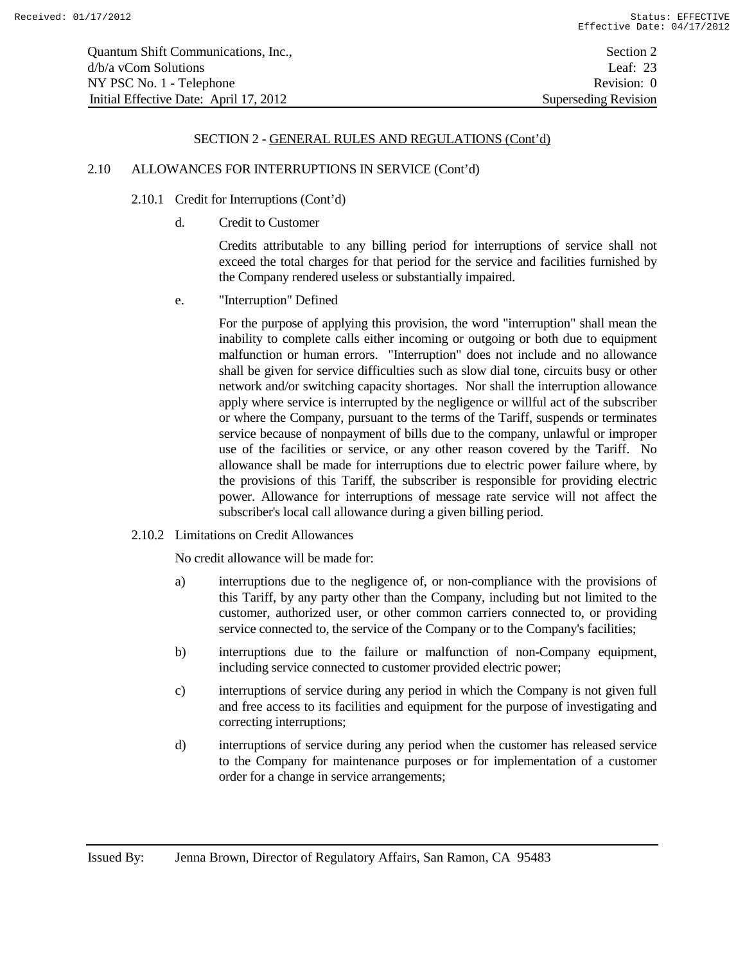#### 2.10 ALLOWANCES FOR INTERRUPTIONS IN SERVICE (Cont'd)

#### 2.10.1 Credit for Interruptions (Cont'd)

d. Credit to Customer

Credits attributable to any billing period for interruptions of service shall not exceed the total charges for that period for the service and facilities furnished by the Company rendered useless or substantially impaired.

e. "Interruption" Defined

For the purpose of applying this provision, the word "interruption" shall mean the inability to complete calls either incoming or outgoing or both due to equipment malfunction or human errors. "Interruption" does not include and no allowance shall be given for service difficulties such as slow dial tone, circuits busy or other network and/or switching capacity shortages. Nor shall the interruption allowance apply where service is interrupted by the negligence or willful act of the subscriber or where the Company, pursuant to the terms of the Tariff, suspends or terminates service because of nonpayment of bills due to the company, unlawful or improper use of the facilities or service, or any other reason covered by the Tariff. No allowance shall be made for interruptions due to electric power failure where, by the provisions of this Tariff, the subscriber is responsible for providing electric power. Allowance for interruptions of message rate service will not affect the subscriber's local call allowance during a given billing period.

2.10.2 Limitations on Credit Allowances

No credit allowance will be made for:

- a) interruptions due to the negligence of, or non-compliance with the provisions of this Tariff, by any party other than the Company, including but not limited to the customer, authorized user, or other common carriers connected to, or providing service connected to, the service of the Company or to the Company's facilities;
- b) interruptions due to the failure or malfunction of non-Company equipment, including service connected to customer provided electric power;
- c) interruptions of service during any period in which the Company is not given full and free access to its facilities and equipment for the purpose of investigating and correcting interruptions;
- d) interruptions of service during any period when the customer has released service to the Company for maintenance purposes or for implementation of a customer order for a change in service arrangements;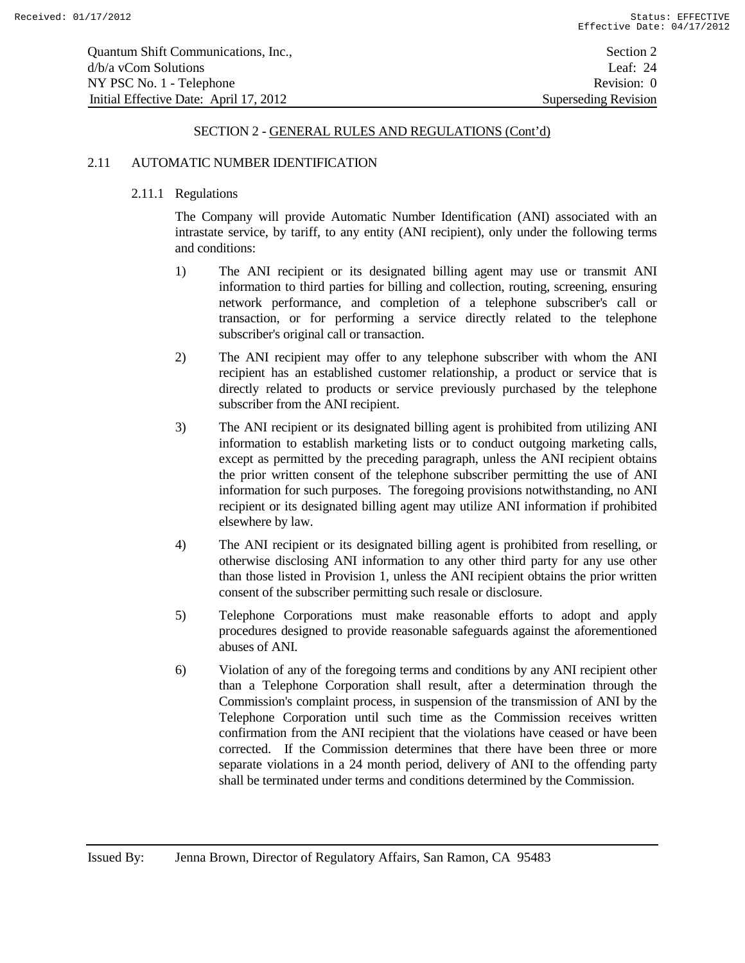#### 2.11 AUTOMATIC NUMBER IDENTIFICATION

## 2.11.1 Regulations

The Company will provide Automatic Number Identification (ANI) associated with an intrastate service, by tariff, to any entity (ANI recipient), only under the following terms and conditions:

- 1) The ANI recipient or its designated billing agent may use or transmit ANI information to third parties for billing and collection, routing, screening, ensuring network performance, and completion of a telephone subscriber's call or transaction, or for performing a service directly related to the telephone subscriber's original call or transaction.
- 2) The ANI recipient may offer to any telephone subscriber with whom the ANI recipient has an established customer relationship, a product or service that is directly related to products or service previously purchased by the telephone subscriber from the ANI recipient.
- 3) The ANI recipient or its designated billing agent is prohibited from utilizing ANI information to establish marketing lists or to conduct outgoing marketing calls, except as permitted by the preceding paragraph, unless the ANI recipient obtains the prior written consent of the telephone subscriber permitting the use of ANI information for such purposes. The foregoing provisions notwithstanding, no ANI recipient or its designated billing agent may utilize ANI information if prohibited elsewhere by law.
- 4) The ANI recipient or its designated billing agent is prohibited from reselling, or otherwise disclosing ANI information to any other third party for any use other than those listed in Provision 1, unless the ANI recipient obtains the prior written consent of the subscriber permitting such resale or disclosure.
- 5) Telephone Corporations must make reasonable efforts to adopt and apply procedures designed to provide reasonable safeguards against the aforementioned abuses of ANI.
- 6) Violation of any of the foregoing terms and conditions by any ANI recipient other than a Telephone Corporation shall result, after a determination through the Commission's complaint process, in suspension of the transmission of ANI by the Telephone Corporation until such time as the Commission receives written confirmation from the ANI recipient that the violations have ceased or have been corrected. If the Commission determines that there have been three or more separate violations in a 24 month period, delivery of ANI to the offending party shall be terminated under terms and conditions determined by the Commission.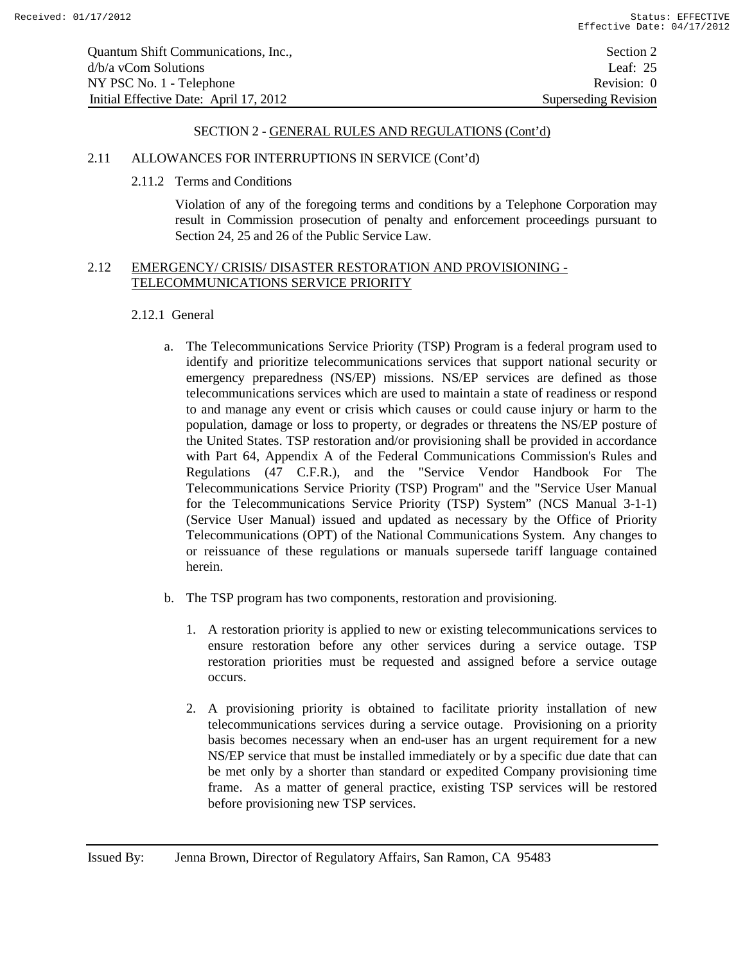| Quantum Shift Communications, Inc.,    | Section 2                   |
|----------------------------------------|-----------------------------|
| $d/b/a$ vCom Solutions                 | Leaf: $25$                  |
| NY PSC No. 1 - Telephone               | Revision: 0                 |
| Initial Effective Date: April 17, 2012 | <b>Superseding Revision</b> |

# 2.11 ALLOWANCES FOR INTERRUPTIONS IN SERVICE (Cont'd)

2.11.2 Terms and Conditions

Violation of any of the foregoing terms and conditions by a Telephone Corporation may result in Commission prosecution of penalty and enforcement proceedings pursuant to Section 24, 25 and 26 of the Public Service Law.

# 2.12 EMERGENCY/ CRISIS/ DISASTER RESTORATION AND PROVISIONING - TELECOMMUNICATIONS SERVICE PRIORITY

# 2.12.1 General

- a. The Telecommunications Service Priority (TSP) Program is a federal program used to identify and prioritize telecommunications services that support national security or emergency preparedness (NS/EP) missions. NS/EP services are defined as those telecommunications services which are used to maintain a state of readiness or respond to and manage any event or crisis which causes or could cause injury or harm to the population, damage or loss to property, or degrades or threatens the NS/EP posture of the United States. TSP restoration and/or provisioning shall be provided in accordance with Part 64, Appendix A of the Federal Communications Commission's Rules and Regulations (47 C.F.R.), and the "Service Vendor Handbook For The Telecommunications Service Priority (TSP) Program" and the "Service User Manual for the Telecommunications Service Priority (TSP) System" (NCS Manual 3-1-1) (Service User Manual) issued and updated as necessary by the Office of Priority Telecommunications (OPT) of the National Communications System. Any changes to or reissuance of these regulations or manuals supersede tariff language contained herein.
- b. The TSP program has two components, restoration and provisioning.
	- 1. A restoration priority is applied to new or existing telecommunications services to ensure restoration before any other services during a service outage. TSP restoration priorities must be requested and assigned before a service outage occurs.
	- 2. A provisioning priority is obtained to facilitate priority installation of new telecommunications services during a service outage. Provisioning on a priority basis becomes necessary when an end-user has an urgent requirement for a new NS/EP service that must be installed immediately or by a specific due date that can be met only by a shorter than standard or expedited Company provisioning time frame. As a matter of general practice, existing TSP services will be restored before provisioning new TSP services.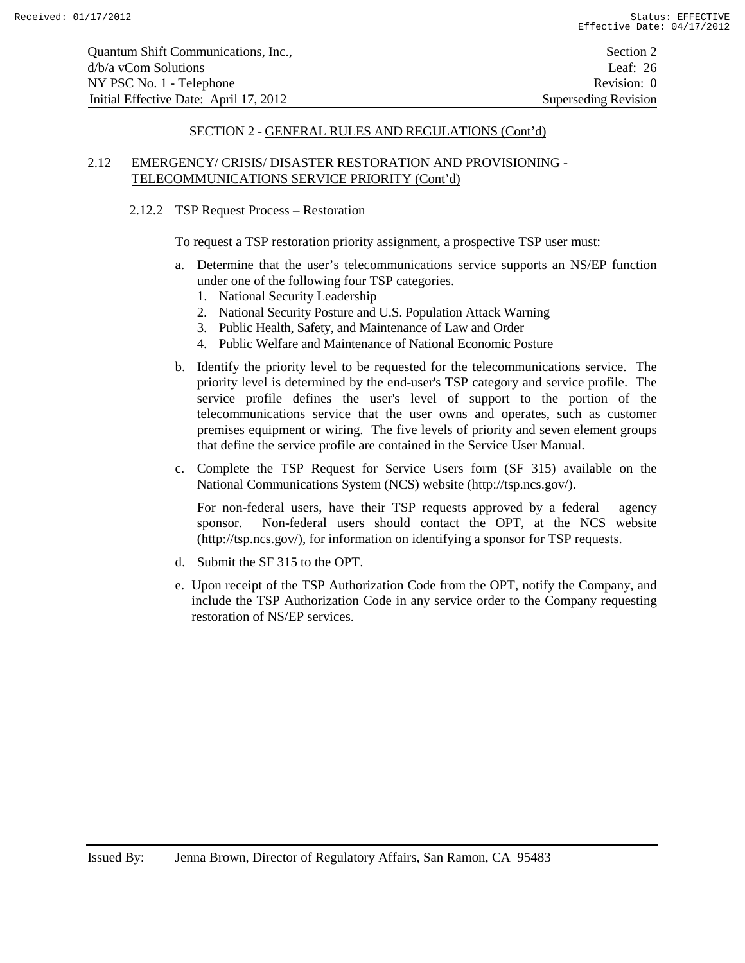Quantum Shift Communications, Inc., Section 2 d/b/a vCom Solutions Leaf: 26 NY PSC No. 1 - Telephone Revision: 0 Initial Effective Date: April 17, 2012 Superseding Revision

#### SECTION 2 - GENERAL RULES AND REGULATIONS (Cont'd)

# 2.12 EMERGENCY/ CRISIS/ DISASTER RESTORATION AND PROVISIONING - TELECOMMUNICATIONS SERVICE PRIORITY (Cont'd)

2.12.2 TSP Request Process – Restoration

To request a TSP restoration priority assignment, a prospective TSP user must:

- a. Determine that the user's telecommunications service supports an NS/EP function under one of the following four TSP categories.
	- 1. National Security Leadership
	- 2. National Security Posture and U.S. Population Attack Warning
	- 3. Public Health, Safety, and Maintenance of Law and Order
	- 4. Public Welfare and Maintenance of National Economic Posture
- b. Identify the priority level to be requested for the telecommunications service. The priority level is determined by the end-user's TSP category and service profile. The service profile defines the user's level of support to the portion of the telecommunications service that the user owns and operates, such as customer premises equipment or wiring. The five levels of priority and seven element groups that define the service profile are contained in the Service User Manual.
- c. Complete the TSP Request for Service Users form (SF 315) available on the National Communications System (NCS) website (http://tsp.ncs.gov/).

For non-federal users, have their TSP requests approved by a federal agency sponsor. Non-federal users should contact the OPT, at the NCS website (http://tsp.ncs.gov/), for information on identifying a sponsor for TSP requests.

- d. Submit the SF 315 to the OPT.
- e. Upon receipt of the TSP Authorization Code from the OPT, notify the Company, and include the TSP Authorization Code in any service order to the Company requesting restoration of NS/EP services.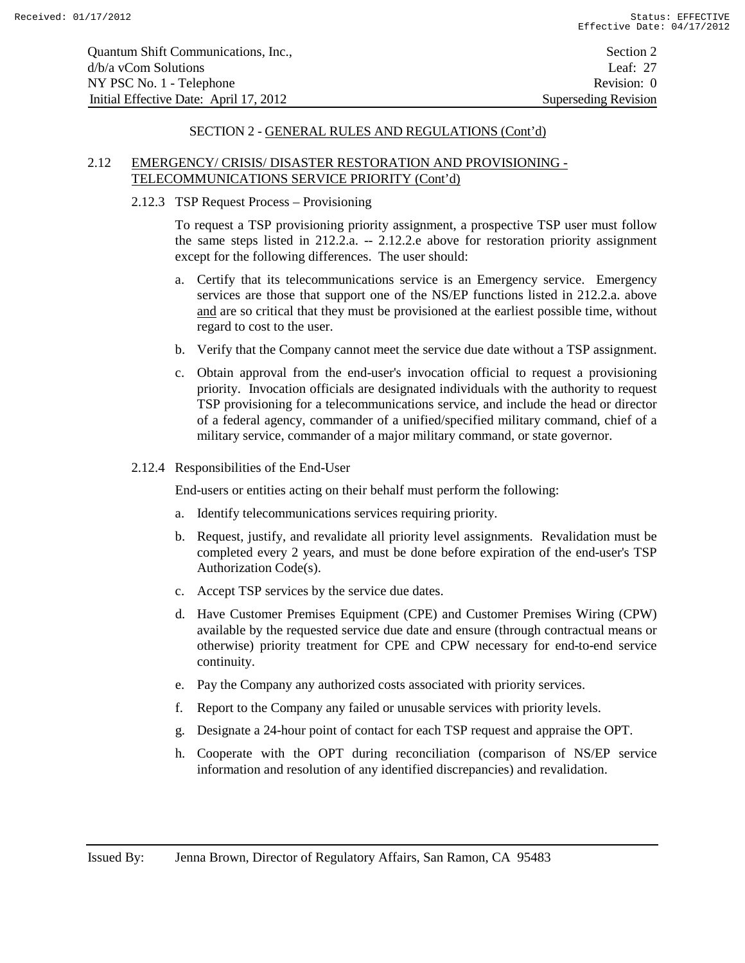| Quantum Shift Communications, Inc.,    | Section 2                   |
|----------------------------------------|-----------------------------|
| $d/b/a$ vCom Solutions                 | Leaf: $27$                  |
| NY PSC No. 1 - Telephone               | Revision: 0                 |
| Initial Effective Date: April 17, 2012 | <b>Superseding Revision</b> |

# 2.12 EMERGENCY/ CRISIS/ DISASTER RESTORATION AND PROVISIONING - TELECOMMUNICATIONS SERVICE PRIORITY (Cont'd)

#### 2.12.3 TSP Request Process – Provisioning

To request a TSP provisioning priority assignment, a prospective TSP user must follow the same steps listed in 212.2.a. -- 2.12.2.e above for restoration priority assignment except for the following differences. The user should:

- a. Certify that its telecommunications service is an Emergency service. Emergency services are those that support one of the NS/EP functions listed in 212.2.a. above and are so critical that they must be provisioned at the earliest possible time, without regard to cost to the user.
- b. Verify that the Company cannot meet the service due date without a TSP assignment.
- c. Obtain approval from the end-user's invocation official to request a provisioning priority. Invocation officials are designated individuals with the authority to request TSP provisioning for a telecommunications service, and include the head or director of a federal agency, commander of a unified/specified military command, chief of a military service, commander of a major military command, or state governor.
- 2.12.4 Responsibilities of the End-User

End-users or entities acting on their behalf must perform the following:

- a. Identify telecommunications services requiring priority.
- b. Request, justify, and revalidate all priority level assignments. Revalidation must be completed every 2 years, and must be done before expiration of the end-user's TSP Authorization Code(s).
- c. Accept TSP services by the service due dates.
- d. Have Customer Premises Equipment (CPE) and Customer Premises Wiring (CPW) available by the requested service due date and ensure (through contractual means or otherwise) priority treatment for CPE and CPW necessary for end-to-end service continuity.
- e. Pay the Company any authorized costs associated with priority services.
- f. Report to the Company any failed or unusable services with priority levels.
- g. Designate a 24-hour point of contact for each TSP request and appraise the OPT.
- h. Cooperate with the OPT during reconciliation (comparison of NS/EP service information and resolution of any identified discrepancies) and revalidation.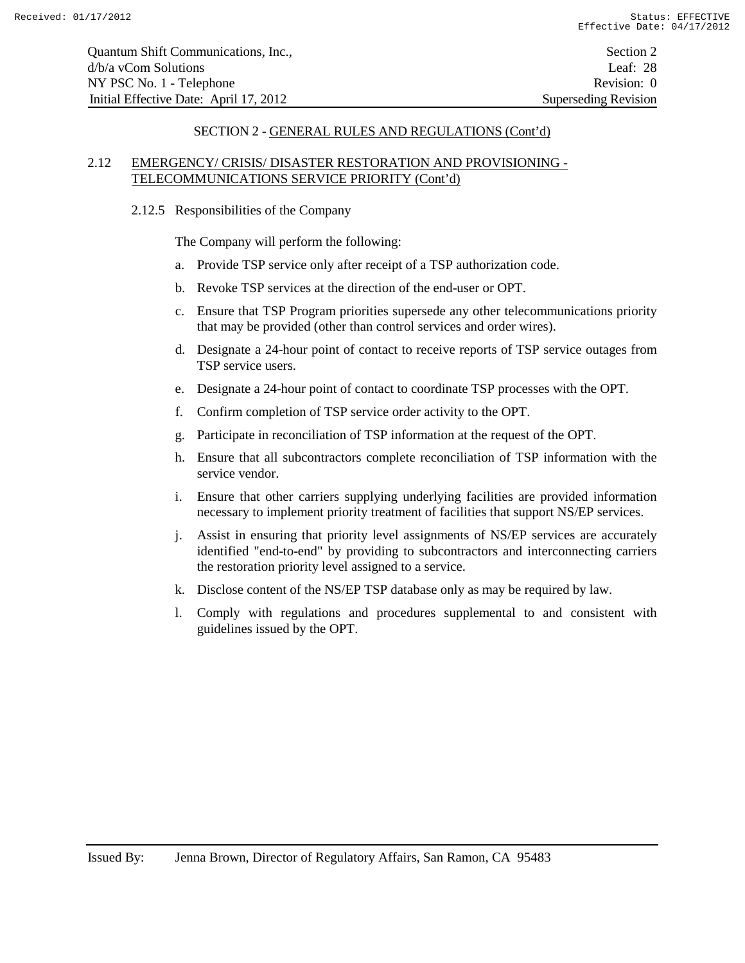Quantum Shift Communications, Inc., Section 2 d/b/a vCom Solutions Leaf: 28 NY PSC No. 1 - Telephone Revision: 0 Initial Effective Date: April 17, 2012 Superseding Revision

#### SECTION 2 - GENERAL RULES AND REGULATIONS (Cont'd)

# 2.12 EMERGENCY/ CRISIS/ DISASTER RESTORATION AND PROVISIONING - TELECOMMUNICATIONS SERVICE PRIORITY (Cont'd)

#### 2.12.5 Responsibilities of the Company

The Company will perform the following:

- a. Provide TSP service only after receipt of a TSP authorization code.
- b. Revoke TSP services at the direction of the end-user or OPT.
- c. Ensure that TSP Program priorities supersede any other telecommunications priority that may be provided (other than control services and order wires).
- d. Designate a 24-hour point of contact to receive reports of TSP service outages from TSP service users.
- e. Designate a 24-hour point of contact to coordinate TSP processes with the OPT.
- f. Confirm completion of TSP service order activity to the OPT.
- g. Participate in reconciliation of TSP information at the request of the OPT.
- h. Ensure that all subcontractors complete reconciliation of TSP information with the service vendor.
- i. Ensure that other carriers supplying underlying facilities are provided information necessary to implement priority treatment of facilities that support NS/EP services.
- j. Assist in ensuring that priority level assignments of NS/EP services are accurately identified "end-to-end" by providing to subcontractors and interconnecting carriers the restoration priority level assigned to a service.
- k. Disclose content of the NS/EP TSP database only as may be required by law.
- l. Comply with regulations and procedures supplemental to and consistent with guidelines issued by the OPT.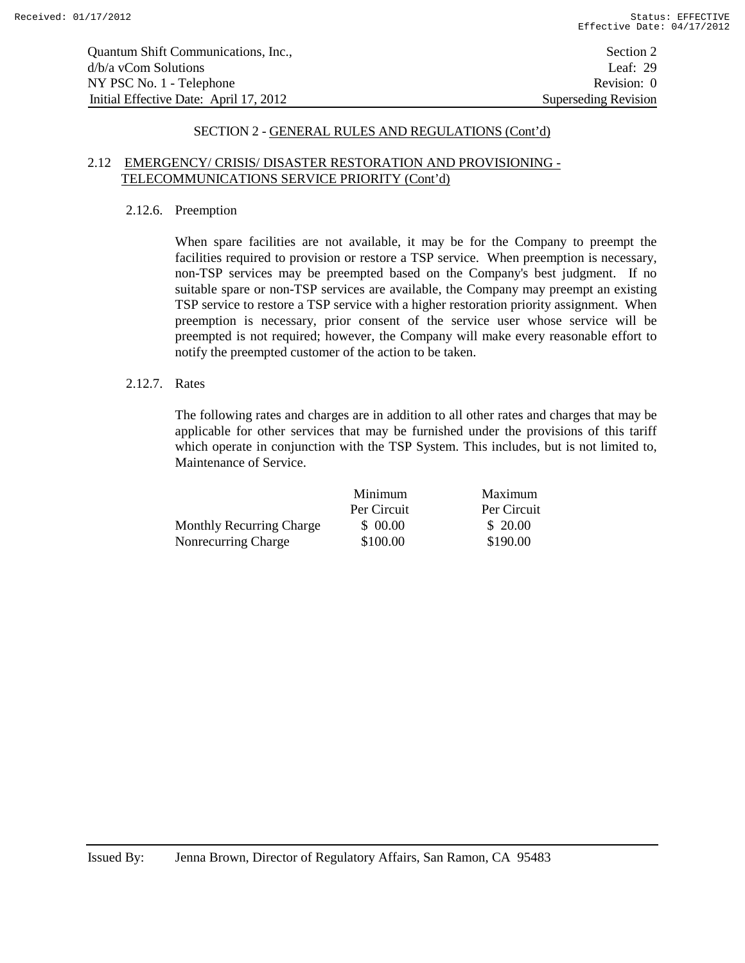Quantum Shift Communications, Inc., Section 2 d/b/a vCom Solutions Leaf: 29 NY PSC No. 1 - Telephone Revision: 0 Initial Effective Date: April 17, 2012 Superseding Revision

#### SECTION 2 - GENERAL RULES AND REGULATIONS (Cont'd)

#### 2.12 EMERGENCY/ CRISIS/ DISASTER RESTORATION AND PROVISIONING - TELECOMMUNICATIONS SERVICE PRIORITY (Cont'd)

#### 2.12.6. Preemption

When spare facilities are not available, it may be for the Company to preempt the facilities required to provision or restore a TSP service. When preemption is necessary, non-TSP services may be preempted based on the Company's best judgment. If no suitable spare or non-TSP services are available, the Company may preempt an existing TSP service to restore a TSP service with a higher restoration priority assignment. When preemption is necessary, prior consent of the service user whose service will be preempted is not required; however, the Company will make every reasonable effort to notify the preempted customer of the action to be taken.

#### 2.12.7. Rates

The following rates and charges are in addition to all other rates and charges that may be applicable for other services that may be furnished under the provisions of this tariff which operate in conjunction with the TSP System. This includes, but is not limited to, Maintenance of Service.

|                                 | Minimum     | Maximum     |
|---------------------------------|-------------|-------------|
|                                 | Per Circuit | Per Circuit |
| <b>Monthly Recurring Charge</b> | \$ 00.00    | \$ 20.00    |
| Nonrecurring Charge             | \$100.00    | \$190.00    |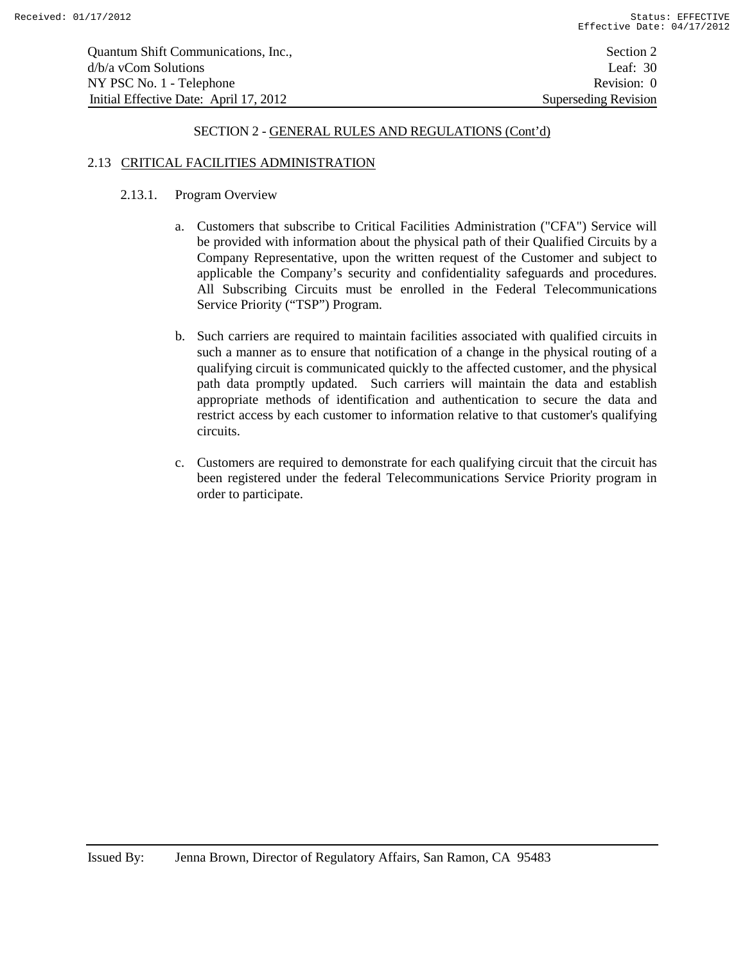| Quantum Shift Communications, Inc.,    | Section 2                   |
|----------------------------------------|-----------------------------|
| d/b/a yCom Solutions                   | Leaf: $30$                  |
| NY PSC No. 1 - Telephone               | Revision: 0                 |
| Initial Effective Date: April 17, 2012 | <b>Superseding Revision</b> |

# 2.13 CRITICAL FACILITIES ADMINISTRATION

# 2.13.1. Program Overview

- a. Customers that subscribe to Critical Facilities Administration ("CFA") Service will be provided with information about the physical path of their Qualified Circuits by a Company Representative, upon the written request of the Customer and subject to applicable the Company's security and confidentiality safeguards and procedures. All Subscribing Circuits must be enrolled in the Federal Telecommunications Service Priority ("TSP") Program.
- b. Such carriers are required to maintain facilities associated with qualified circuits in such a manner as to ensure that notification of a change in the physical routing of a qualifying circuit is communicated quickly to the affected customer, and the physical path data promptly updated. Such carriers will maintain the data and establish appropriate methods of identification and authentication to secure the data and restrict access by each customer to information relative to that customer's qualifying circuits.
- c. Customers are required to demonstrate for each qualifying circuit that the circuit has been registered under the federal Telecommunications Service Priority program in order to participate.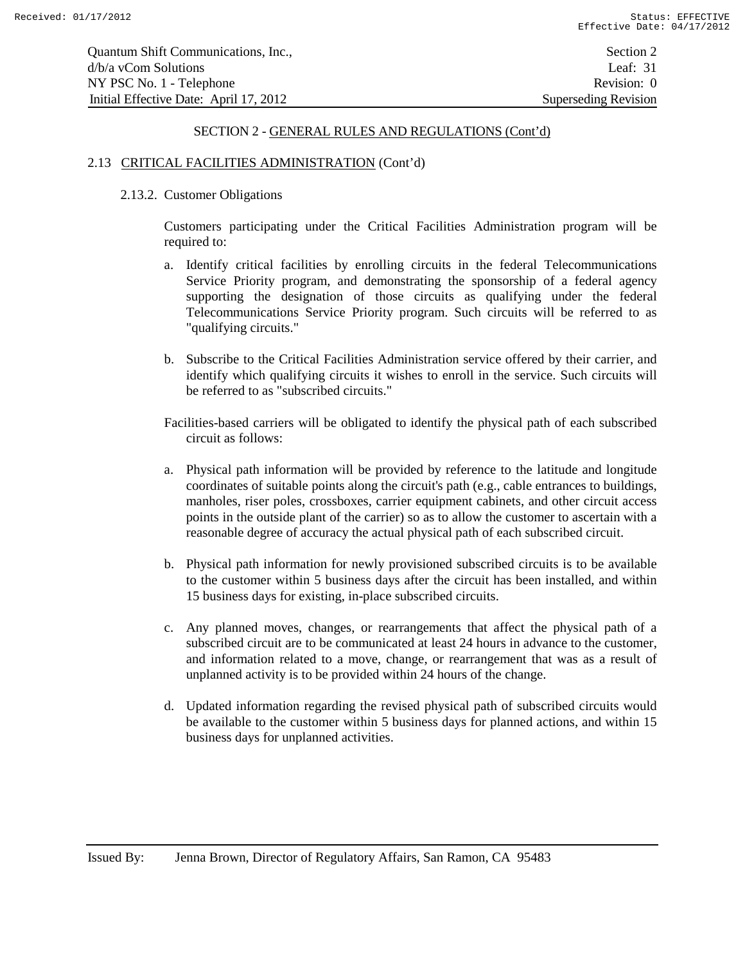## 2.13 CRITICAL FACILITIES ADMINISTRATION (Cont'd)

#### 2.13.2. Customer Obligations

Customers participating under the Critical Facilities Administration program will be required to:

- a. Identify critical facilities by enrolling circuits in the federal Telecommunications Service Priority program, and demonstrating the sponsorship of a federal agency supporting the designation of those circuits as qualifying under the federal Telecommunications Service Priority program. Such circuits will be referred to as "qualifying circuits."
- b. Subscribe to the Critical Facilities Administration service offered by their carrier, and identify which qualifying circuits it wishes to enroll in the service. Such circuits will be referred to as "subscribed circuits."

Facilities-based carriers will be obligated to identify the physical path of each subscribed circuit as follows:

- a. Physical path information will be provided by reference to the latitude and longitude coordinates of suitable points along the circuit's path (e.g., cable entrances to buildings, manholes, riser poles, crossboxes, carrier equipment cabinets, and other circuit access points in the outside plant of the carrier) so as to allow the customer to ascertain with a reasonable degree of accuracy the actual physical path of each subscribed circuit.
- b. Physical path information for newly provisioned subscribed circuits is to be available to the customer within 5 business days after the circuit has been installed, and within 15 business days for existing, in-place subscribed circuits.
- c. Any planned moves, changes, or rearrangements that affect the physical path of a subscribed circuit are to be communicated at least 24 hours in advance to the customer, and information related to a move, change, or rearrangement that was as a result of unplanned activity is to be provided within 24 hours of the change.
- d. Updated information regarding the revised physical path of subscribed circuits would be available to the customer within 5 business days for planned actions, and within 15 business days for unplanned activities.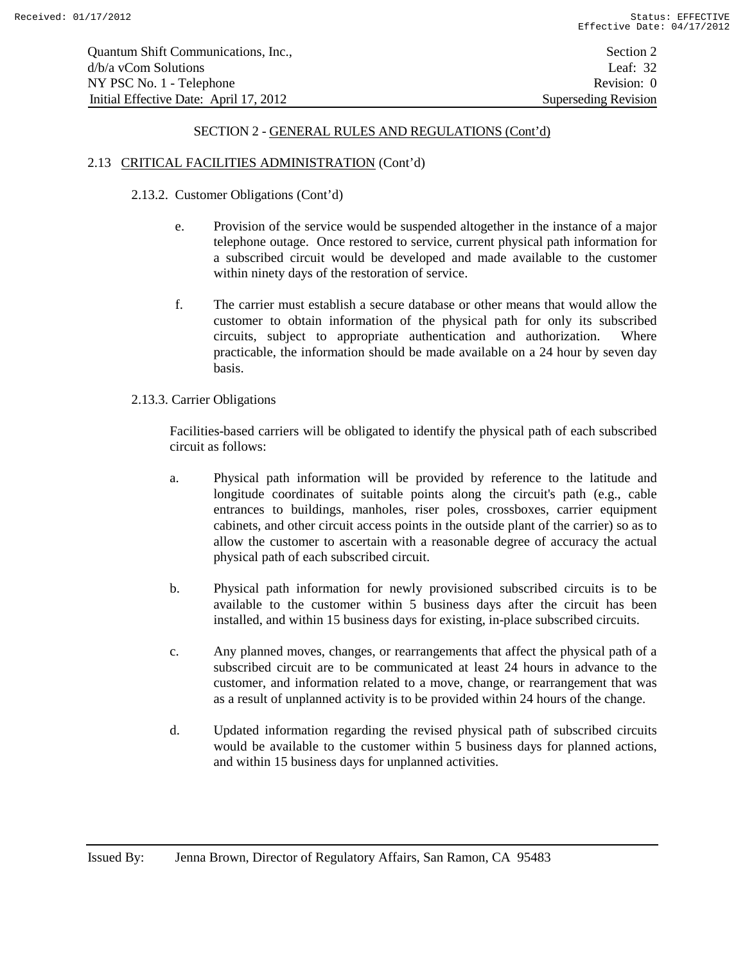#### 2.13 CRITICAL FACILITIES ADMINISTRATION (Cont'd)

## 2.13.2. Customer Obligations (Cont'd)

- e. Provision of the service would be suspended altogether in the instance of a major telephone outage. Once restored to service, current physical path information for a subscribed circuit would be developed and made available to the customer within ninety days of the restoration of service.
- f. The carrier must establish a secure database or other means that would allow the customer to obtain information of the physical path for only its subscribed circuits, subject to appropriate authentication and authorization. Where practicable, the information should be made available on a 24 hour by seven day basis.
- 2.13.3. Carrier Obligations

Facilities-based carriers will be obligated to identify the physical path of each subscribed circuit as follows:

- a. Physical path information will be provided by reference to the latitude and longitude coordinates of suitable points along the circuit's path (e.g., cable entrances to buildings, manholes, riser poles, crossboxes, carrier equipment cabinets, and other circuit access points in the outside plant of the carrier) so as to allow the customer to ascertain with a reasonable degree of accuracy the actual physical path of each subscribed circuit.
- b. Physical path information for newly provisioned subscribed circuits is to be available to the customer within 5 business days after the circuit has been installed, and within 15 business days for existing, in-place subscribed circuits.
- c. Any planned moves, changes, or rearrangements that affect the physical path of a subscribed circuit are to be communicated at least 24 hours in advance to the customer, and information related to a move, change, or rearrangement that was as a result of unplanned activity is to be provided within 24 hours of the change.
- d. Updated information regarding the revised physical path of subscribed circuits would be available to the customer within 5 business days for planned actions, and within 15 business days for unplanned activities.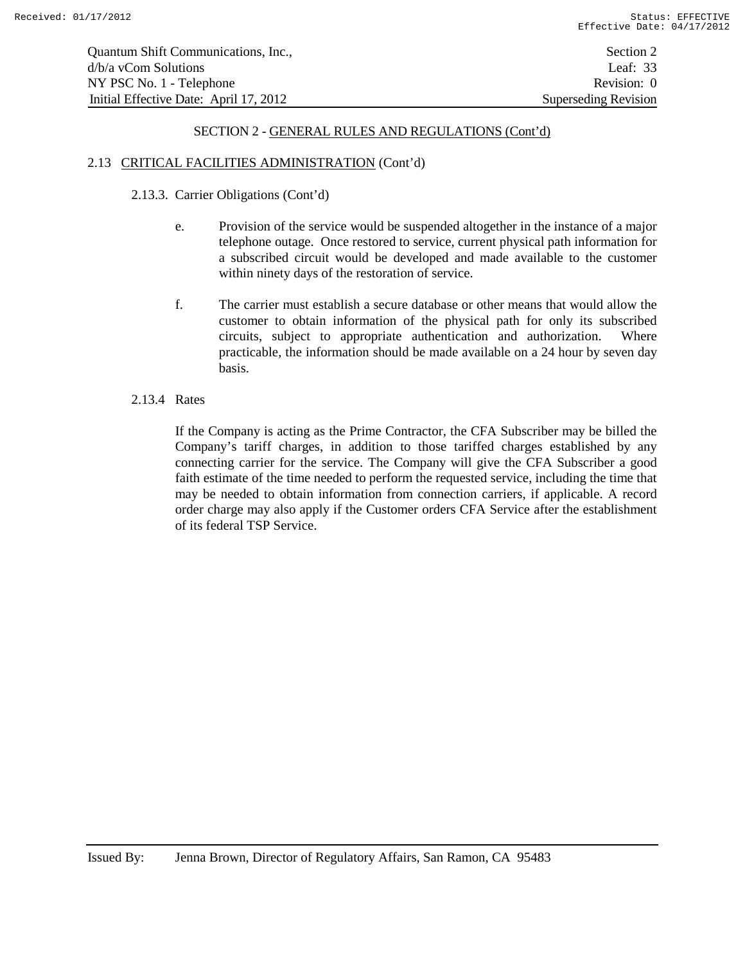## 2.13 CRITICAL FACILITIES ADMINISTRATION (Cont'd)

## 2.13.3. Carrier Obligations (Cont'd)

- e. Provision of the service would be suspended altogether in the instance of a major telephone outage. Once restored to service, current physical path information for a subscribed circuit would be developed and made available to the customer within ninety days of the restoration of service.
- f. The carrier must establish a secure database or other means that would allow the customer to obtain information of the physical path for only its subscribed circuits, subject to appropriate authentication and authorization. Where practicable, the information should be made available on a 24 hour by seven day basis.

#### 2.13.4 Rates

If the Company is acting as the Prime Contractor, the CFA Subscriber may be billed the Company's tariff charges, in addition to those tariffed charges established by any connecting carrier for the service. The Company will give the CFA Subscriber a good faith estimate of the time needed to perform the requested service, including the time that may be needed to obtain information from connection carriers, if applicable. A record order charge may also apply if the Customer orders CFA Service after the establishment of its federal TSP Service.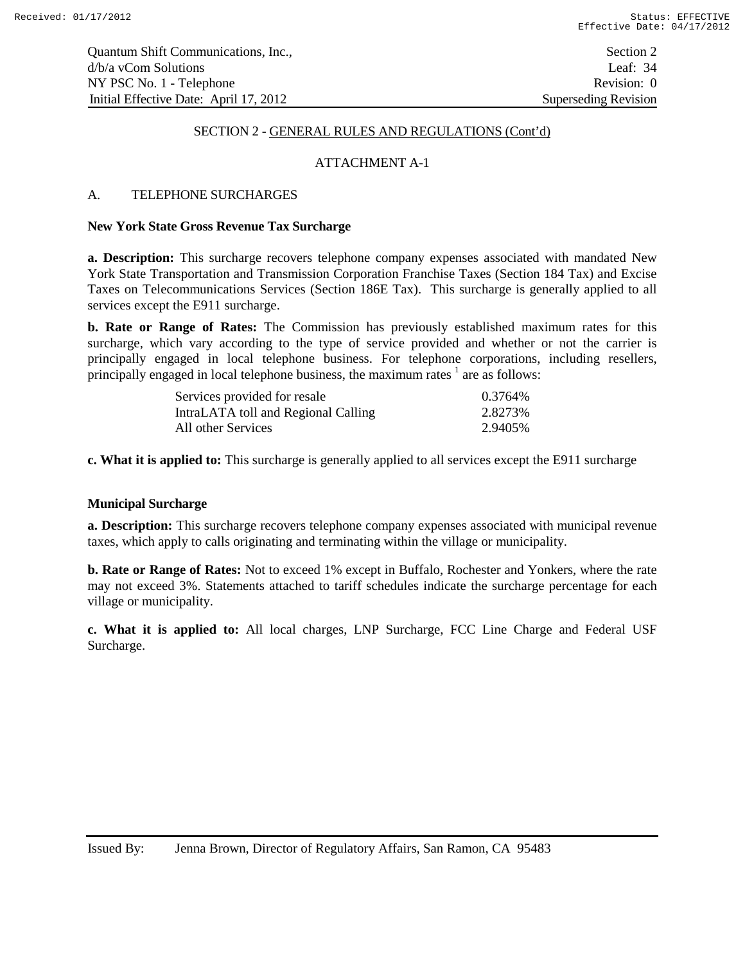# ATTACHMENT A-1

# A. TELEPHONE SURCHARGES

#### **New York State Gross Revenue Tax Surcharge**

**a. Description:** This surcharge recovers telephone company expenses associated with mandated New York State Transportation and Transmission Corporation Franchise Taxes (Section 184 Tax) and Excise Taxes on Telecommunications Services (Section 186E Tax). This surcharge is generally applied to all services except the E911 surcharge.

**b. Rate or Range of Rates:** The Commission has previously established maximum rates for this surcharge, which vary according to the type of service provided and whether or not the carrier is principally engaged in local telephone business. For telephone corporations, including resellers, principally engaged in local telephone business, the maximum rates  $\frac{1}{1}$  are as follows:

| Services provided for resale        | 0.3764%  |
|-------------------------------------|----------|
| IntraLATA toll and Regional Calling | 2.8273%  |
| All other Services                  | 2.9405\% |

**c. What it is applied to:** This surcharge is generally applied to all services except the E911 surcharge

#### **Municipal Surcharge**

**a. Description:** This surcharge recovers telephone company expenses associated with municipal revenue taxes, which apply to calls originating and terminating within the village or municipality.

**b. Rate or Range of Rates:** Not to exceed 1% except in Buffalo, Rochester and Yonkers, where the rate may not exceed 3%. Statements attached to tariff schedules indicate the surcharge percentage for each village or municipality.

**c. What it is applied to:** All local charges, LNP Surcharge, FCC Line Charge and Federal USF Surcharge.